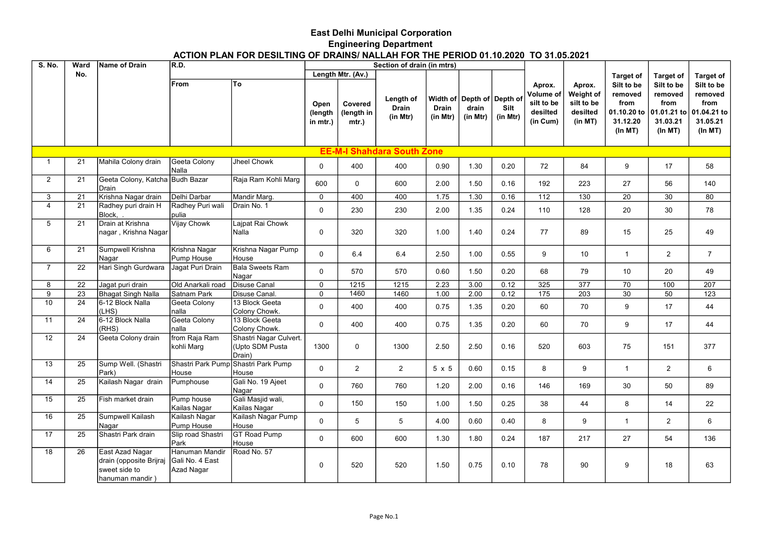## East Delhi Municipal Corporation Engineering Department

## ACTION PLAN FOR DESILTING OF DRAINS/ NALLAH FOR THE PERIOD 01.10.2020 TO 31.05.2021

| <b>S. No.</b>   | Ward | Name of Drain                   | R.D.                             |                                     |                             |                                | Section of drain (in mtrs)            |                          |                                                 |                  |                                                           |                                                          |                                                                     |                                                                     |                                                                     |
|-----------------|------|---------------------------------|----------------------------------|-------------------------------------|-----------------------------|--------------------------------|---------------------------------------|--------------------------|-------------------------------------------------|------------------|-----------------------------------------------------------|----------------------------------------------------------|---------------------------------------------------------------------|---------------------------------------------------------------------|---------------------------------------------------------------------|
|                 | No.  |                                 |                                  |                                     |                             | Length Mtr. (Av.)              |                                       |                          |                                                 |                  |                                                           |                                                          | <b>Target of</b>                                                    | <b>Target of</b>                                                    | <b>Target of</b>                                                    |
|                 |      |                                 | <b>From</b>                      | To                                  | Open<br>(length<br>in mtr.) | Covered<br>(length in<br>mtr.) | Length of<br><b>Drain</b><br>(in Mtr) | <b>Drain</b><br>(in Mtr) | Width of Depth of Depth of<br>drain<br>(in Mtr) | Silt<br>(in Mtr) | Aprox.<br>Volume of<br>silt to be<br>desilted<br>(in Cum) | Aprox.<br>Weight of<br>silt to be<br>desilted<br>(in MT) | Silt to be<br>removed<br>from<br>01.10.20 to<br>31.12.20<br>(ln MT) | Silt to be<br>removed<br>from<br>01.01.21 to<br>31.03.21<br>(ln MT) | Silt to be<br>removed<br>from<br>01.04.21 to<br>31.05.21<br>(ln MT) |
|                 |      |                                 |                                  |                                     |                             |                                | <b>EE-M-I Shahdara South Zone</b>     |                          |                                                 |                  |                                                           |                                                          |                                                                     |                                                                     |                                                                     |
| $\mathbf{1}$    | 21   | Mahila Colony drain             | Geeta Colony                     | Jheel Chowk                         |                             |                                |                                       |                          |                                                 |                  |                                                           |                                                          |                                                                     |                                                                     |                                                                     |
|                 |      |                                 | Nalla                            |                                     | 0                           | 400                            | 400                                   | 0.90                     | 1.30                                            | 0.20             | 72                                                        | 84                                                       | 9                                                                   | 17                                                                  | 58                                                                  |
| $\overline{2}$  | 21   | Geeta Colony, Katcha Budh Bazar |                                  | Raja Ram Kohli Marg                 | 600                         | $\Omega$                       | 600                                   | 2.00                     | 1.50                                            | 0.16             | 192                                                       | 223                                                      | 27                                                                  | 56                                                                  | 140                                                                 |
|                 |      | <b>Drain</b>                    |                                  |                                     |                             |                                |                                       |                          |                                                 |                  |                                                           |                                                          |                                                                     |                                                                     |                                                                     |
| 3               | 21   | Krishna Nagar drain             | İDelhi Darbar                    | Mandir Marg.                        | $\Omega$                    | 400                            | 400                                   | 1.75                     | 1.30                                            | 0.16             | 112                                                       | 130                                                      | 20                                                                  | 30                                                                  | 80                                                                  |
| 4               | 21   | Radhey puri drain H<br>Block, . | Radhey Puri wali<br> pulia       | Drain No. 1                         | 0                           | 230                            | 230                                   | 2.00                     | 1.35                                            | 0.24             | 110                                                       | 128                                                      | 20                                                                  | 30                                                                  | 78                                                                  |
| 5               | 21   | Drain at Krishna                | Vijay Chowk                      | Lajpat Rai Chowk                    |                             |                                |                                       |                          |                                                 |                  |                                                           |                                                          |                                                                     |                                                                     |                                                                     |
|                 |      | nagar , Krishna Nagar           |                                  | Nalla                               | 0                           | 320                            | 320                                   | 1.00                     | 1.40                                            | 0.24             | 77                                                        | 89                                                       | 15                                                                  | 25                                                                  | 49                                                                  |
| 6               | 21   | Sumpwell Krishna                | Krishna Nagar                    | Krishna Nagar Pump                  | 0                           | 6.4                            | 6.4                                   | 2.50                     | 1.00                                            | 0.55             | 9                                                         | 10                                                       | $\mathbf{1}$                                                        | $\overline{2}$                                                      | $\overline{7}$                                                      |
|                 |      | Nagar                           | Pump House                       | House                               |                             |                                |                                       |                          |                                                 |                  |                                                           |                                                          |                                                                     |                                                                     |                                                                     |
| $\overline{7}$  | 22   | Hari Singh Gurdwara             | Jagat Puri Drain                 | <b>Bala Sweets Ram</b><br>Nagar     | $\Omega$                    | 570                            | 570                                   | 0.60                     | 1.50                                            | 0.20             | 68                                                        | 79                                                       | 10                                                                  | 20                                                                  | 49                                                                  |
| 8               | 22   | Jagat puri drain                | Old Anarkali road                | <b>Disuse Canal</b>                 | 0                           | 1215                           | 1215                                  | 2.23                     | 3.00                                            | 0.12             | 325                                                       | $\overline{377}$                                         | $\overline{70}$                                                     | 100                                                                 | $\overline{207}$                                                    |
| 9               | 23   | Bhagat Singh Nalla              | İSatnam Park                     | Disuse Canal.                       | $\Omega$                    | 1460                           | 1460                                  | 1.00                     | 2.00                                            | 0.12             | 175                                                       | $\overline{203}$                                         | $\overline{30}$                                                     | $\overline{50}$                                                     | 123                                                                 |
| 10 <sup>1</sup> | 24   | 16-12 Block Nalla               | Geeta Colony                     | 13 Block Geeta                      | $\Omega$                    | 400                            | 400                                   | 0.75                     | 1.35                                            | 0.20             | 60                                                        | 70                                                       | 9                                                                   | 17                                                                  | 44                                                                  |
|                 |      | (LHS)                           | Inalla                           | Colony Chowk.                       |                             |                                |                                       |                          |                                                 |                  |                                                           |                                                          |                                                                     |                                                                     |                                                                     |
| 11              | 24   | 6-12 Block Nalla                | Geeta Colony                     | 13 Block Geeta                      | $\Omega$                    | 400                            | 400                                   | 0.75                     | 1.35                                            | 0.20             | 60                                                        | 70                                                       | 9                                                                   | 17                                                                  | 44                                                                  |
|                 |      | (RHS)                           | nalla                            | Colony Chowk.                       |                             |                                |                                       |                          |                                                 |                  |                                                           |                                                          |                                                                     |                                                                     |                                                                     |
| 12              | 24   | Geeta Colony drain              | from Raja Ram                    | Shastri Nagar Culvert.              |                             |                                |                                       |                          |                                                 |                  |                                                           |                                                          |                                                                     |                                                                     |                                                                     |
|                 |      |                                 | kohli Marq                       | (Upto SDM Pusta<br>Drain)           | 1300                        | $\mathbf 0$                    | 1300                                  | 2.50                     | 2.50                                            | 0.16             | 520                                                       | 603                                                      | 75                                                                  | 151                                                                 | 377                                                                 |
| 13              | 25   | Sump Well. (Shastri             |                                  | Shastri Park Pump Shastri Park Pump |                             |                                |                                       |                          |                                                 |                  |                                                           |                                                          |                                                                     |                                                                     |                                                                     |
|                 |      | Park)                           | House                            | House                               | $\Omega$                    | $\overline{2}$                 | $\overline{2}$                        | 5 x 5                    | 0.60                                            | 0.15             | 8                                                         | 9                                                        | $\mathbf{1}$                                                        | $\overline{2}$                                                      | 6                                                                   |
| 14              | 25   | Kailash Nagar drain             | Pumphouse                        | Gali No. 19 Ajeet                   | $\Omega$                    | 760                            | 760                                   | 1.20                     | 2.00                                            | 0.16             | 146                                                       | 169                                                      | 30                                                                  | 50                                                                  | 89                                                                  |
|                 |      |                                 |                                  | Nagar                               |                             |                                |                                       |                          |                                                 |                  |                                                           |                                                          |                                                                     |                                                                     |                                                                     |
| 15              | 25   | Fish market drain               | Pump house<br>Kailas Nagar       | Gali Masjid wali,<br>Kailas Nagar   | $\Omega$                    | 150                            | 150                                   | 1.00                     | 1.50                                            | 0.25             | 38                                                        | 44                                                       | 8                                                                   | 14                                                                  | 22                                                                  |
| 16              | 25   | Sumpwell Kailash                | Kailash Nagar                    | Kailash Nagar Pump                  |                             |                                |                                       |                          |                                                 |                  |                                                           |                                                          |                                                                     |                                                                     |                                                                     |
|                 |      | Nagar                           | Pump House                       | House                               | $\Omega$                    | 5                              | 5                                     | 4.00                     | 0.60                                            | 0.40             | 8                                                         | 9                                                        | $\overline{1}$                                                      | $\overline{2}$                                                      | 6                                                                   |
| 17              | 25   | Shastri Park drain              | Slip road Shastri<br><b>Park</b> | <b>GT Road Pump</b><br>House        | $\Omega$                    | 600                            | 600                                   | 1.30                     | 1.80                                            | 0.24             | 187                                                       | 217                                                      | 27                                                                  | 54                                                                  | 136                                                                 |
| 18              | 26   | East Azad Nagar                 | Hanuman Mandir                   | Road No. 57                         |                             |                                |                                       |                          |                                                 |                  |                                                           |                                                          |                                                                     |                                                                     |                                                                     |
|                 |      | drain (opposite Brijraj         | Gali No. 4 East                  |                                     |                             |                                |                                       |                          |                                                 |                  |                                                           |                                                          |                                                                     |                                                                     |                                                                     |
|                 |      | sweet side to                   | Azad Nagar                       |                                     | 0                           | 520                            | 520                                   | 1.50                     | 0.75                                            | 0.10             | 78                                                        | 90                                                       | 9                                                                   | 18                                                                  | 63                                                                  |
|                 |      | hanuman mandir)                 |                                  |                                     |                             |                                |                                       |                          |                                                 |                  |                                                           |                                                          |                                                                     |                                                                     |                                                                     |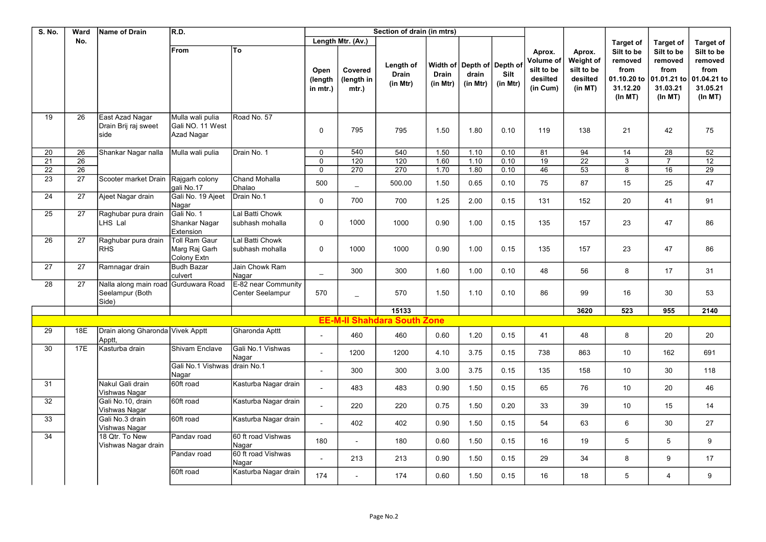| <b>S. No.</b> | Ward            | <b>Name of Drain</b>                              | R.D.                                               |                                         |                             |                                | Section of drain (in mtrs)         |                          |                                                 |                  |                                                           |                                                          |                                                                     |                                                                     |                                                                      |
|---------------|-----------------|---------------------------------------------------|----------------------------------------------------|-----------------------------------------|-----------------------------|--------------------------------|------------------------------------|--------------------------|-------------------------------------------------|------------------|-----------------------------------------------------------|----------------------------------------------------------|---------------------------------------------------------------------|---------------------------------------------------------------------|----------------------------------------------------------------------|
|               | No.             |                                                   |                                                    |                                         |                             | Length Mtr. (Av.)              |                                    |                          |                                                 |                  |                                                           |                                                          | <b>Target of</b>                                                    | <b>Target of</b>                                                    | <b>Target of</b>                                                     |
|               |                 |                                                   | <b>From</b>                                        | To                                      | Open<br>(length<br>in mtr.) | Covered<br>(length in<br>mtr.) | Length of<br>Drain<br>(in Mtr)     | <b>Drain</b><br>(in Mtr) | Width of Depth of Depth of<br>drain<br>(in Mtr) | Silt<br>(in Mtr) | Aprox.<br>Volume of<br>silt to be<br>desilted<br>(in Cum) | Aprox.<br>Weight of<br>silt to be<br>desilted<br>(in MT) | Silt to be<br>removed<br>from<br>01.10.20 to<br>31.12.20<br>(ln MT) | Silt to be<br>removed<br>from<br>01.01.21 to<br>31.03.21<br>(ln MT) | Silt to be<br>removed<br>from<br>01.04.21 to<br>31.05.21<br>(In M T) |
| 19            | 26              | East Azad Nagar<br>Drain Brij raj sweet<br>side   | Mulla wali pulia<br>Gali NO. 11 West<br>Azad Nagar | Road No. 57                             | $\mathbf{0}$                | 795                            | 795                                | 1.50                     | 1.80                                            | 0.10             | 119                                                       | 138                                                      | 21                                                                  | 42                                                                  | 75                                                                   |
| 20            | 26              | Shankar Nagar nalla                               | Mulla wali pulia                                   | Drain No. 1                             | $\Omega$                    | 540                            | 540                                | 1.50                     | 1.10                                            | 0.10             | 81                                                        | 94                                                       | 14                                                                  | 28                                                                  | 52                                                                   |
| 21            | 26              |                                                   |                                                    |                                         | $\Omega$                    | 120                            | $\overline{120}$                   | 1.60                     | 1.10                                            | 0.10             | 19                                                        | $\overline{22}$                                          | $\ensuremath{\mathsf{3}}$                                           | $\overline{7}$                                                      | 12                                                                   |
| 22            | 26              |                                                   |                                                    |                                         | $\mathbf 0$                 | 270                            | 270                                | 1.70                     | 1.80                                            | 0.10             | 46                                                        | 53                                                       | 8                                                                   | 16                                                                  | 29                                                                   |
| 23            | 27              | Scooter market Drain   Rajgarh colony             | qali No.17                                         | <b>Chand Mohalla</b><br>Dhalao          | 500                         |                                | 500.00                             | 1.50                     | 0.65                                            | 0.10             | 75                                                        | 87                                                       | 15                                                                  | 25                                                                  | 47                                                                   |
| 24            | 27              | Ajeet Nagar drain                                 | Gali No. 19 Ajeet<br>Nagar                         | Drain No.1                              | $\mathbf 0$                 | 700                            | 700                                | 1.25                     | 2.00                                            | 0.15             | 131                                                       | 152                                                      | 20                                                                  | 41                                                                  | 91                                                                   |
| 25            | 27              | Raghubar pura drain<br>LHS Lal                    | Gali No. 1<br>Shankar Nagar<br>Extension           | Lal Batti Chowk<br>subhash mohalla      | $\mathbf 0$                 | 1000                           | 1000                               | 0.90                     | 1.00                                            | 0.15             | 135                                                       | 157                                                      | 23                                                                  | 47                                                                  | 86                                                                   |
| 26            | $\overline{27}$ | Raghubar pura drain<br><b>RHS</b>                 | Toll Ram Gaur<br>Marg Raj Garh<br>Colony Extn      | Lal Batti Chowk<br>subhash mohalla      | $\mathbf{0}$                | 1000                           | 1000                               | 0.90                     | 1.00                                            | 0.15             | 135                                                       | 157                                                      | 23                                                                  | 47                                                                  | 86                                                                   |
| 27            | 27              | Ramnagar drain                                    | <b>Budh Bazar</b><br>culvert                       | Jain Chowk Ram<br>Nagar                 | $-$                         | 300                            | 300                                | 1.60                     | 1.00                                            | 0.10             | 48                                                        | 56                                                       | 8                                                                   | 17                                                                  | 31                                                                   |
| 28            | 27              | Nalla along main road<br>Seelampur (Both<br>Side) | Gurduwara Road                                     | E-82 near Community<br>Center Seelampur | 570                         |                                | 570                                | 1.50                     | 1.10                                            | 0.10             | 86                                                        | 99                                                       | 16                                                                  | 30                                                                  | 53                                                                   |
|               |                 |                                                   |                                                    |                                         |                             |                                | 15133                              |                          |                                                 |                  |                                                           | 3620                                                     | 523                                                                 | 955                                                                 | 2140                                                                 |
|               |                 |                                                   |                                                    |                                         |                             |                                | <b>EE-M-II Shahdara South Zone</b> |                          |                                                 |                  |                                                           |                                                          |                                                                     |                                                                     |                                                                      |
| 29            | 18E             | Drain along Gharonda Vivek Apptt<br>Apptt,        |                                                    | Gharonda Apttt                          | $\overline{a}$              | 460                            | 460                                | 0.60                     | 1.20                                            | 0.15             | 41                                                        | 48                                                       | 8                                                                   | 20                                                                  | 20                                                                   |
| 30            | 17E             | Kasturba drain                                    | <b>Shivam Enclave</b>                              | Gali No.1 Vishwas<br>Nagar              | $\overline{a}$              | 1200                           | 1200                               | 4.10                     | 3.75                                            | 0.15             | 738                                                       | 863                                                      | 10                                                                  | 162                                                                 | 691                                                                  |
|               |                 |                                                   | Gali No.1 Vishwas drain No.1<br>Nagar              |                                         |                             | 300                            | 300                                | 3.00                     | 3.75                                            | 0.15             | 135                                                       | 158                                                      | 10                                                                  | 30                                                                  | 118                                                                  |
| 31            |                 | Nakul Gali drain<br>Vishwas Nagar                 | 60ft road                                          | Kasturba Nagar drain                    | $\overline{a}$              | 483                            | 483                                | 0.90                     | 1.50                                            | 0.15             | 65                                                        | 76                                                       | 10                                                                  | 20                                                                  | 46                                                                   |
| 32            |                 | Gali No.10, drain<br>Vishwas Nagar                | 60ft road                                          | Kasturba Nagar drain                    |                             | 220                            | 220                                | 0.75                     | 1.50                                            | 0.20             | 33                                                        | 39                                                       | 10                                                                  | 15                                                                  | 14                                                                   |
| 33            |                 | Gali No.3 drain<br>Vishwas Nagar                  | 60ft road                                          | Kasturba Nagar drain                    | $\overline{a}$              | 402                            | 402                                | 0.90                     | 1.50                                            | 0.15             | 54                                                        | 63                                                       | 6                                                                   | 30                                                                  | 27                                                                   |
| 34            |                 | 18 Qtr. To New<br>Vishwas Nagar drain             | Pandav road                                        | 60 ft road Vishwas<br>Nagar             | 180                         |                                | 180                                | 0.60                     | 1.50                                            | 0.15             | 16                                                        | 19                                                       | 5                                                                   | 5                                                                   | 9                                                                    |
|               |                 |                                                   | Pandav road                                        | 60 ft road Vishwas<br>Nagar             |                             | 213                            | 213                                | 0.90                     | 1.50                                            | 0.15             | 29                                                        | 34                                                       | 8                                                                   | 9                                                                   | 17                                                                   |
|               |                 |                                                   | 60ft road                                          | Kasturba Nagar drain                    | 174                         |                                | 174                                | 0.60                     | 1.50                                            | 0.15             | 16                                                        | 18                                                       | 5                                                                   | $\overline{4}$                                                      | 9                                                                    |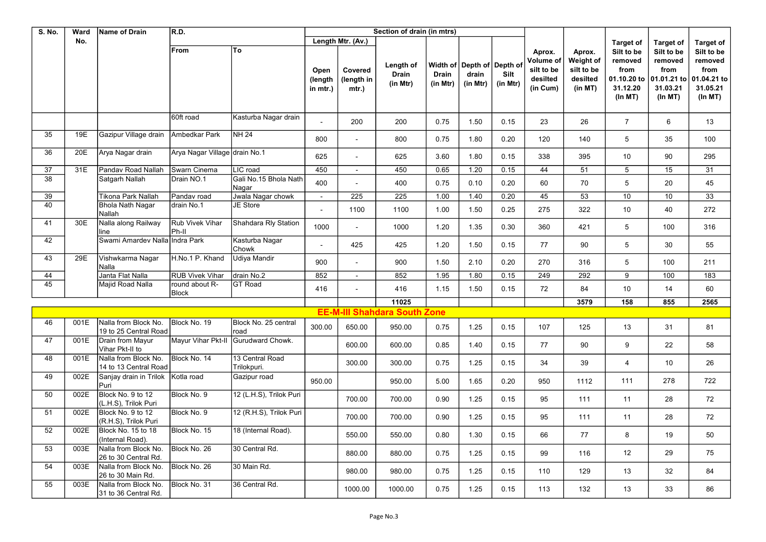| <b>S. No.</b>   | Ward | Name of Drain                                 | R.D.                          |                                |                             |                                | Section of drain (in mtrs)          |                          |                                                 |                  |                                                           |                                                          |                                                                     |                                                                     |                                                                     |
|-----------------|------|-----------------------------------------------|-------------------------------|--------------------------------|-----------------------------|--------------------------------|-------------------------------------|--------------------------|-------------------------------------------------|------------------|-----------------------------------------------------------|----------------------------------------------------------|---------------------------------------------------------------------|---------------------------------------------------------------------|---------------------------------------------------------------------|
|                 | No.  |                                               |                               |                                |                             | Length Mtr. (Av.)              |                                     |                          |                                                 |                  |                                                           |                                                          | <b>Target of</b>                                                    | <b>Target of</b>                                                    | <b>Target of</b>                                                    |
|                 |      |                                               | From                          | To                             | Open<br>(length<br>in mtr.) | Covered<br>(length in<br>mtr.) | Length of<br>Drain<br>(in Mtr)      | <b>Drain</b><br>(in Mtr) | Width of Depth of Depth of<br>drain<br>(in Mtr) | Silt<br>(in Mtr) | Aprox.<br>Volume of<br>silt to be<br>desilted<br>(in Cum) | Aprox.<br>Weight of<br>silt to be<br>desilted<br>(in MT) | Silt to be<br>removed<br>from<br>01.10.20 to<br>31.12.20<br>(ln MT) | Silt to be<br>removed<br>from<br>01.01.21 to<br>31.03.21<br>(ln MT) | Silt to be<br>removed<br>from<br>01.04.21 to<br>31.05.21<br>(ln MT) |
|                 |      |                                               | 60ft road                     | Kasturba Nagar drain           |                             | 200                            | 200                                 | 0.75                     | 1.50                                            | 0.15             | 23                                                        | 26                                                       | $\overline{7}$                                                      | 6                                                                   | 13                                                                  |
| 35              | 19E  | Gazipur Village drain                         | Ambedkar Park                 | <b>NH 24</b>                   | 800                         |                                | 800                                 | 0.75                     | 1.80                                            | 0.20             | 120                                                       | 140                                                      | 5                                                                   | 35                                                                  | 100                                                                 |
| 36              | 20E  | Arya Nagar drain                              | Arya Nagar Village drain No.1 |                                | 625                         |                                | 625                                 | 3.60                     | 1.80                                            | 0.15             | 338                                                       | 395                                                      | 10                                                                  | 90                                                                  | 295                                                                 |
| 37              | 31E  | Pandav Road Nallah                            | Swarn Cinema                  | LIC road                       | 450                         | $\blacksquare$                 | 450                                 | 0.65                     | $\overline{1.20}$                               | 0.15             | 44                                                        | 51                                                       | $\overline{5}$                                                      | 15                                                                  | 31                                                                  |
| 38              |      | Satgarh Nallah                                | Drain NO.1                    | Gali No.15 Bhola Nath<br>Nagar | 400                         |                                | 400                                 | 0.75                     | 0.10                                            | 0.20             | 60                                                        | 70                                                       | 5                                                                   | 20                                                                  | 45                                                                  |
| 39              |      | Tikona Park Nallah                            | Pandav road                   | Jwala Nagar chowk              | $\blacksquare$              | 225                            | $\overline{225}$                    | 1.00                     | 1.40                                            | 0.20             | 45                                                        | 53                                                       | 10                                                                  | 10                                                                  | $\overline{33}$                                                     |
| 40              |      | <b>Bhola Nath Nagar</b><br>Nallah             | drain No.1                    | JE Store                       | $\blacksquare$              | 1100                           | 1100                                | 1.00                     | 1.50                                            | 0.25             | 275                                                       | 322                                                      | 10                                                                  | 40                                                                  | 272                                                                 |
| 41              | 30E  | Nalla along Railway<br>line                   | Rub Vivek Vihar<br>Ph-II      | Shahdara Rly Station           | 1000                        |                                | 1000                                | 1.20                     | 1.35                                            | 0.30             | 360                                                       | 421                                                      | 5                                                                   | 100                                                                 | 316                                                                 |
| 42              |      | Swami Amardev Nalla Indra Park                |                               | Kasturba Nagar<br>Chowk        | $\overline{a}$              | 425                            | 425                                 | 1.20                     | 1.50                                            | 0.15             | 77                                                        | 90                                                       | 5                                                                   | 30                                                                  | 55                                                                  |
| 43              | 29E  | Vishwkarma Nagar<br>Nalla                     | H.No.1 P. Khand               | Udiya Mandir                   | 900                         |                                | 900                                 | 1.50                     | 2.10                                            | 0.20             | 270                                                       | 316                                                      | 5                                                                   | 100                                                                 | 211                                                                 |
| 44              |      | Janta Flat Nalla                              | <b>RUB Vivek Vihar</b>        | drain No.2                     | 852                         | $\sim$                         | 852                                 | 1.95                     | 1.80                                            | 0.15             | 249                                                       | 292                                                      | 9                                                                   | 100                                                                 | 183                                                                 |
| $\overline{45}$ |      | Majid Road Nalla                              | round about R-<br>Block       | <b>GT Road</b>                 | 416                         |                                | 416                                 | 1.15                     | 1.50                                            | 0.15             | 72                                                        | 84                                                       | 10                                                                  | 14                                                                  | 60                                                                  |
|                 |      |                                               |                               |                                |                             |                                | 11025                               |                          |                                                 |                  |                                                           | 3579                                                     | 158                                                                 | 855                                                                 | 2565                                                                |
|                 |      |                                               |                               |                                |                             |                                | <b>EE-M-III Shahdara South Zone</b> |                          |                                                 |                  |                                                           |                                                          |                                                                     |                                                                     |                                                                     |
| 46              | 001E | Nalla from Block No.<br>19 to 25 Central Road | Block No. 19                  | Block No. 25 central<br>road   | 300.00                      | 650.00                         | 950.00                              | 0.75                     | 1.25                                            | 0.15             | 107                                                       | 125                                                      | 13                                                                  | 31                                                                  | 81                                                                  |
| 47              | 001E | Drain from Mayur<br>Vihar Pkt-II to           | Mayur Vihar Pkt-II            | Gurudward Chowk.               |                             | 600.00                         | 600.00                              | 0.85                     | 1.40                                            | 0.15             | 77                                                        | 90                                                       | 9                                                                   | 22                                                                  | 58                                                                  |
| 48              | 001E | Nalla from Block No.<br>14 to 13 Central Road | Block No. 14                  | 13 Central Road<br>Trilokpuri. |                             | 300.00                         | 300.00                              | 0.75                     | 1.25                                            | 0.15             | 34                                                        | 39                                                       | $\overline{4}$                                                      | 10                                                                  | 26                                                                  |
| 49              | 002E | Sanjay drain in Trilok<br>Puri                | Kotla road                    | Gazipur road                   | 950.00                      |                                | 950.00                              | 5.00                     | 1.65                                            | 0.20             | 950                                                       | 1112                                                     | 111                                                                 | 278                                                                 | 722                                                                 |
| 50              | 002E | Block No. 9 to 12<br>(L.H.S), Trilok Puri     | Block No. 9                   | 12 (L.H.S), Trilok Puri        |                             | 700.00                         | 700.00                              | 0.90                     | 1.25                                            | 0.15             | 95                                                        | 111                                                      | 11                                                                  | 28                                                                  | 72                                                                  |
| 51              | 002E | Block No. 9 to 12<br>(R.H.S), Trilok Puri     | Block No. 9                   | 12 (R.H.S), Trilok Puri        |                             | 700.00                         | 700.00                              | 0.90                     | 1.25                                            | 0.15             | 95                                                        | 111                                                      | 11                                                                  | 28                                                                  | 72                                                                  |
| 52              | 002E | Block No. 15 to 18<br>(Internal Road).        | Block No. 15                  | 18 (Internal Road).            |                             | 550.00                         | 550.00                              | 0.80                     | 1.30                                            | 0.15             | 66                                                        | 77                                                       | 8                                                                   | 19                                                                  | 50                                                                  |
| 53              | 003E | Nalla from Block No.<br>26 to 30 Central Rd.  | Block No. 26                  | 30 Central Rd.                 |                             | 880.00                         | 880.00                              | 0.75                     | 1.25                                            | 0.15             | 99                                                        | 116                                                      | 12                                                                  | 29                                                                  | 75                                                                  |
| 54              | 003E | Nalla from Block No.<br>26 to 30 Main Rd.     | Block No. 26                  | 30 Main Rd.                    |                             | 980.00                         | 980.00                              | 0.75                     | 1.25                                            | 0.15             | 110                                                       | 129                                                      | 13                                                                  | 32                                                                  | 84                                                                  |
| 55              | 003E | Nalla from Block No.<br>31 to 36 Central Rd.  | Block No. 31                  | 36 Central Rd.                 |                             | 1000.00                        | 1000.00                             | 0.75                     | 1.25                                            | 0.15             | 113                                                       | 132                                                      | 13                                                                  | 33                                                                  | 86                                                                  |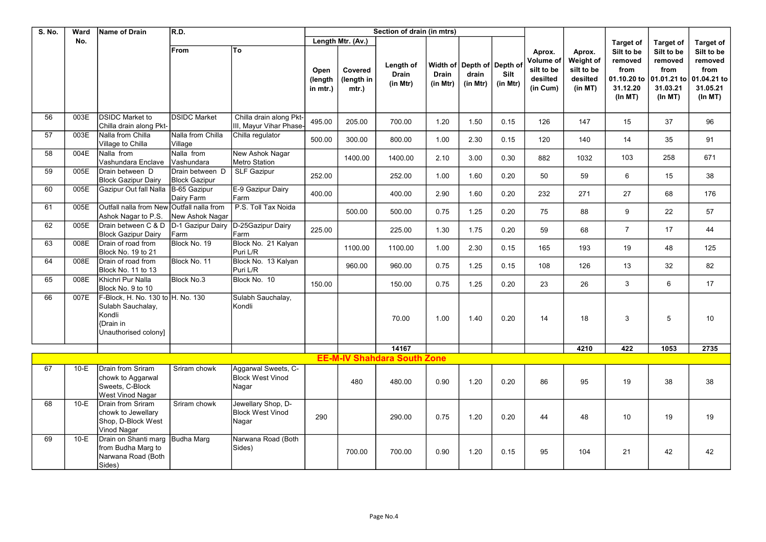| S. No. | Ward   | Name of Drain                                                                                               | R.D.                                    |                                                         |                             |                                | Section of drain (in mtrs)            |                          |                                                |                  |                                                           |                                                          |                                                                     |                                                                     |                                                                     |
|--------|--------|-------------------------------------------------------------------------------------------------------------|-----------------------------------------|---------------------------------------------------------|-----------------------------|--------------------------------|---------------------------------------|--------------------------|------------------------------------------------|------------------|-----------------------------------------------------------|----------------------------------------------------------|---------------------------------------------------------------------|---------------------------------------------------------------------|---------------------------------------------------------------------|
|        | No.    |                                                                                                             |                                         |                                                         |                             | Length Mtr. (Av.)              |                                       |                          |                                                |                  |                                                           |                                                          | <b>Target of</b>                                                    | <b>Target of</b>                                                    | <b>Target of</b>                                                    |
|        |        |                                                                                                             | From                                    | To                                                      | Open<br>(length<br>in mtr.) | Covered<br>(length in<br>mtr.) | Length of<br><b>Drain</b><br>(in Mtr) | <b>Drain</b><br>(in Mtr) | Width of Depth of Depth o<br>drain<br>(in Mtr) | Silt<br>(in Mtr) | Aprox.<br>Volume of<br>silt to be<br>desilted<br>(in Cum) | Aprox.<br>Weight of<br>silt to be<br>desilted<br>(in MT) | Silt to be<br>removed<br>from<br>01.10.20 to<br>31.12.20<br>(ln MT) | Silt to be<br>removed<br>from<br>01.01.21 to<br>31.03.21<br>(ln MT) | Silt to be<br>removed<br>from<br>01.04.21 to<br>31.05.21<br>(ln MT) |
| 56     | 003E   | <b>DSIDC Market to</b><br>Chilla drain along Pkt-                                                           | <b>DSIDC Market</b>                     | Chilla drain along Pkt-<br>III, Mayur Vihar Phase       | 495.00                      | 205.00                         | 700.00                                | 1.20                     | 1.50                                           | 0.15             | 126                                                       | 147                                                      | 15                                                                  | 37                                                                  | 96                                                                  |
| 57     | 003E   | Nalla from Chilla<br>Village to Chilla                                                                      | Nalla from Chilla<br>Village            | Chilla regulator                                        | 500.00                      | 300.00                         | 800.00                                | 1.00                     | 2.30                                           | 0.15             | 120                                                       | 140                                                      | 14                                                                  | 35                                                                  | 91                                                                  |
| 58     | 004E   | Nalla from<br>Vashundara Enclave                                                                            | Nalla from<br>İVashundara               | New Ashok Nagar<br><b>Metro Station</b>                 |                             | 1400.00                        | 1400.00                               | 2.10                     | 3.00                                           | 0.30             | 882                                                       | 1032                                                     | 103                                                                 | 258                                                                 | 671                                                                 |
| 59     | 005E   | Drain between D<br><b>Block Gazipur Dairy</b>                                                               | Drain between D<br><b>Block Gazipur</b> | <b>SLF Gazipur</b>                                      | 252.00                      |                                | 252.00                                | 1.00                     | 1.60                                           | 0.20             | 50                                                        | 59                                                       | 6                                                                   | 15                                                                  | 38                                                                  |
| 60     | 005E   | Gazipur Out fall Nalla                                                                                      | B-65 Gazipur<br>Dairy Farm              | E-9 Gazipur Dairy<br>Farm                               | 400.00                      |                                | 400.00                                | 2.90                     | 1.60                                           | 0.20             | 232                                                       | 271                                                      | 27                                                                  | 68                                                                  | 176                                                                 |
| 61     | 005E   | Outfall nalla from New Outfall nalla from<br>Ashok Nagar to P.S.                                            | New Ashok Nagar                         | P.S. Toll Tax Noida                                     |                             | 500.00                         | 500.00                                | 0.75                     | 1.25                                           | 0.20             | 75                                                        | 88                                                       | 9                                                                   | 22                                                                  | 57                                                                  |
| 62     | 005E   | Drain between C & D<br><b>Block Gazipur Dairy</b>                                                           | D-1 Gazipur Dairy<br>Farm               | D-25Gazipur Dairy<br>Farm                               | 225.00                      |                                | 225.00                                | 1.30                     | 1.75                                           | 0.20             | 59                                                        | 68                                                       | $\overline{7}$                                                      | 17                                                                  | 44                                                                  |
| 63     | 008E   | Drain of road from<br>Block No. 19 to 21                                                                    | Block No. 19                            | Block No. 21 Kalyan<br>Puri L/R                         |                             | 1100.00                        | 1100.00                               | 1.00                     | 2.30                                           | 0.15             | 165                                                       | 193                                                      | 19                                                                  | 48                                                                  | 125                                                                 |
| 64     | 008E   | Drain of road from<br>Block No. 11 to 13                                                                    | Block No. 11                            | Block No. 13 Kalyan<br>Puri L/R                         |                             | 960.00                         | 960.00                                | 0.75                     | 1.25                                           | 0.15             | 108                                                       | 126                                                      | 13                                                                  | 32                                                                  | 82                                                                  |
| 65     | 008E   | Khichri Pur Nalla<br>Block No. 9 to 10                                                                      | Block No.3                              | Block No. 10                                            | 150.00                      |                                | 150.00                                | 0.75                     | 1.25                                           | 0.20             | 23                                                        | 26                                                       | $\mathbf{3}$                                                        | 6                                                                   | 17                                                                  |
| 66     | 007E   | F-Block, H. No. 130 to H. No. 130<br>Sulabh Sauchalay,<br>Kondli<br><b>Drain</b> in<br>Unauthorised colony] |                                         | Sulabh Sauchalay,<br>Kondli                             |                             |                                | 70.00                                 | 1.00                     | 1.40                                           | 0.20             | 14                                                        | 18                                                       | 3                                                                   | 5                                                                   | 10                                                                  |
|        |        |                                                                                                             |                                         |                                                         |                             |                                | 14167                                 |                          |                                                |                  |                                                           | 4210                                                     | 422                                                                 | 1053                                                                | 2735                                                                |
|        |        |                                                                                                             |                                         |                                                         |                             |                                | <b>EE-M-IV Shahdara South Zone</b>    |                          |                                                |                  |                                                           |                                                          |                                                                     |                                                                     |                                                                     |
| 67     | $10-E$ | Drain from Sriram<br>chowk to Aggarwal<br>Sweets, C-Block<br><b>West Vinod Nagar</b>                        | Sriram chowk                            | Aggarwal Sweets, C-<br><b>Block West Vinod</b><br>Nagar |                             | 480                            | 480.00                                | 0.90                     | 1.20                                           | 0.20             | 86                                                        | 95                                                       | 19                                                                  | 38                                                                  | 38                                                                  |
| 68     | $10-E$ | Drain from Sriram<br>chowk to Jewellary<br>Shop, D-Block West<br>Vinod Nagar                                | Sriram chowk                            | Jewellary Shop, D-<br><b>Block West Vinod</b><br>Nagar  | 290                         |                                | 290.00                                | 0.75                     | 1.20                                           | 0.20             | 44                                                        | 48                                                       | 10                                                                  | 19                                                                  | 19                                                                  |
| 69     | $10-E$ | Drain on Shanti marg Budha Marg<br>from Budha Marg to<br>Narwana Road (Both<br>Sides)                       |                                         | Narwana Road (Both<br>Sides)                            |                             | 700.00                         | 700.00                                | 0.90                     | 1.20                                           | 0.15             | 95                                                        | 104                                                      | 21                                                                  | 42                                                                  | 42                                                                  |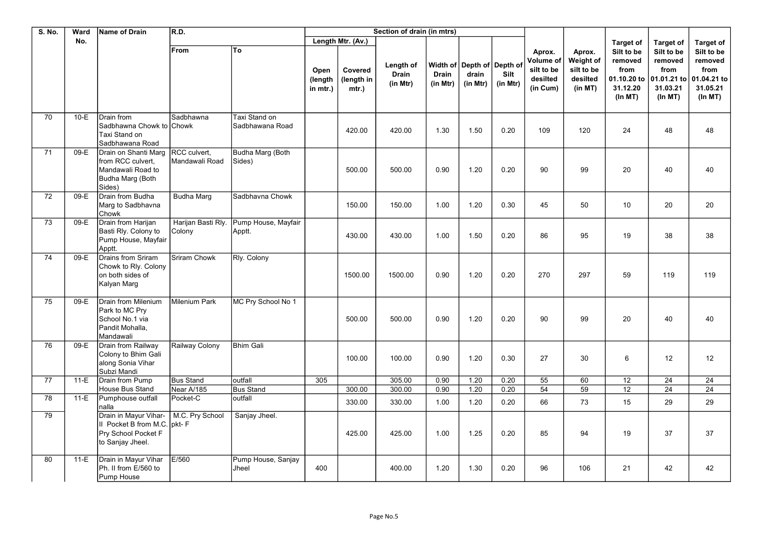| S. No. | Ward   | Name of Drain                                                                                | R.D.                           |                                  |                             |                                   | Section of drain (in mtrs)            |                                      |                                        |                  |                                                           |                                                          |                                                                     |                                                                     |                                                                     |
|--------|--------|----------------------------------------------------------------------------------------------|--------------------------------|----------------------------------|-----------------------------|-----------------------------------|---------------------------------------|--------------------------------------|----------------------------------------|------------------|-----------------------------------------------------------|----------------------------------------------------------|---------------------------------------------------------------------|---------------------------------------------------------------------|---------------------------------------------------------------------|
|        | No.    |                                                                                              |                                |                                  |                             | Length Mtr. (Av.)                 |                                       |                                      |                                        |                  |                                                           |                                                          | <b>Target of</b>                                                    | <b>Target of</b>                                                    | <b>Target of</b>                                                    |
|        |        |                                                                                              | From                           | To                               | Open<br>(length<br>in mtr.) | Covered<br>(length in<br>$mtr.$ ) | Length of<br><b>Drain</b><br>(in Mtr) | Width of<br><b>Drain</b><br>(in Mtr) | Depth of Depth of<br>drain<br>(in Mtr) | Silt<br>(in Mtr) | Aprox.<br>Volume of<br>silt to be<br>desilted<br>(in Cum) | Aprox.<br>Weight of<br>silt to be<br>desilted<br>(in MT) | Silt to be<br>removed<br>from<br>01.10.20 to<br>31.12.20<br>(ln MT) | Silt to be<br>removed<br>from<br>01.01.21 to<br>31.03.21<br>(ln MT) | Silt to be<br>removed<br>from<br>01.04.21 to<br>31.05.21<br>(ln MT) |
| 70     | $10-E$ | Drain from<br>Sadbhawna Chowk to Chowk<br>Taxi Stand on<br>Sadbhawana Road                   | Sadbhawna                      | Taxi Stand on<br>Sadbhawana Road |                             | 420.00                            | 420.00                                | 1.30                                 | 1.50                                   | 0.20             | 109                                                       | 120                                                      | 24                                                                  | 48                                                                  | 48                                                                  |
| 71     | 09-E   | Drain on Shanti Marg<br>from RCC culvert,<br>Mandawali Road to<br>Budha Marg (Both<br>Sides) | RCC culvert,<br>Mandawali Road | Budha Marg (Both<br>Sides)       |                             | 500.00                            | 500.00                                | 0.90                                 | 1.20                                   | 0.20             | 90                                                        | 99                                                       | 20                                                                  | 40                                                                  | 40                                                                  |
| 72     | 09-E   | Drain from Budha<br>Marg to Sadbhavna<br>Chowk                                               | Budha Marg                     | Sadbhavna Chowk                  |                             | 150.00                            | 150.00                                | 1.00                                 | 1.20                                   | 0.30             | 45                                                        | 50                                                       | 10                                                                  | 20                                                                  | 20                                                                  |
| 73     | 09-E   | Drain from Harijan<br>Basti Rly. Colony to<br>Pump House, Mayfair<br>Apptt.                  | Harijan Basti Rly.<br>Colony   | Pump House, Mayfair<br>Apptt.    |                             | 430.00                            | 430.00                                | 1.00                                 | 1.50                                   | 0.20             | 86                                                        | 95                                                       | 19                                                                  | 38                                                                  | 38                                                                  |
| 74     | 09-E   | Drains from Sriram<br>Chowk to Rly. Colony<br>on both sides of<br>Kalyan Marg                | Sriram Chowk                   | Rly. Colony                      |                             | 1500.00                           | 1500.00                               | 0.90                                 | 1.20                                   | 0.20             | 270                                                       | 297                                                      | 59                                                                  | 119                                                                 | 119                                                                 |
| 75     | 09-E   | Drain from Milenium<br>Park to MC Pry<br>School No.1 via<br>Pandit Mohalla,<br>Mandawali     | Milenium Park                  | MC Pry School No 1               |                             | 500.00                            | 500.00                                | 0.90                                 | 1.20                                   | 0.20             | 90                                                        | 99                                                       | 20                                                                  | 40                                                                  | 40                                                                  |
| 76     | 09-E   | Drain from Railway<br>Colony to Bhim Gali<br>along Sonia Vihar<br>Subzi Mandi                | Railway Colony                 | <b>Bhim Gali</b>                 |                             | 100.00                            | 100.00                                | 0.90                                 | 1.20                                   | 0.30             | 27                                                        | 30                                                       | 6                                                                   | 12                                                                  | 12                                                                  |
| 77     | $11-E$ | <b>Drain from Pump</b><br>House Bus Stand                                                    | <b>Bus Stand</b><br>Near A/185 | outfall<br><b>Bus Stand</b>      | 305                         | 300.00                            | 305.00<br>300.00                      | 0.90<br>0.90                         | 1.20<br>1.20                           | 0.20<br>0.20     | 55<br>54                                                  | 60<br>59                                                 | $\overline{12}$<br>12                                               | $\overline{24}$<br>24                                               | 24<br>24                                                            |
| 78     | $11-E$ | Pumphouse outfall<br>nalla                                                                   | Pocket-C                       | outfall                          |                             | 330.00                            | 330.00                                | 1.00                                 | 1.20                                   | 0.20             | 66                                                        | 73                                                       | 15                                                                  | 29                                                                  | 29                                                                  |
| 79     |        | Drain in Mayur Vihar-<br>II Pocket B from M.C.<br>Pry School Pocket F<br>to Sanjay Jheel.    | M.C. Pry School<br>pkt-F       | Sanjay Jheel.                    |                             | 425.00                            | 425.00                                | 1.00                                 | 1.25                                   | 0.20             | 85                                                        | 94                                                       | 19                                                                  | 37                                                                  | 37                                                                  |
| 80     | $11-E$ | Drain in Mayur Vihar<br>Ph. II from E/560 to<br>Pump House                                   | E/560                          | Pump House, Sanjay<br>Jheel      | 400                         |                                   | 400.00                                | 1.20                                 | 1.30                                   | 0.20             | 96                                                        | 106                                                      | 21                                                                  | 42                                                                  | 42                                                                  |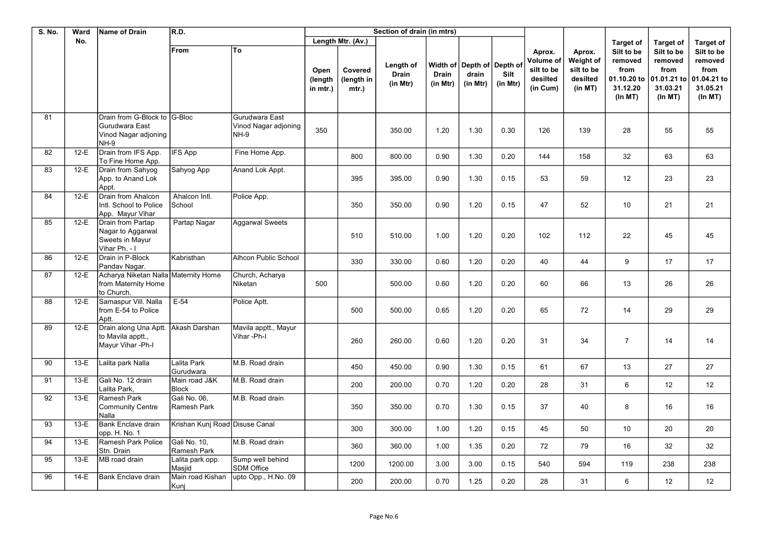| <b>S. No.</b> | Ward   | <b>Name of Drain</b>                                                           | R.D.                           |                                                       |                             |                                | Section of drain (in mtrs)            |                          |                                                 |                  |                                                           |                                                          |                                                      |                                                      |                                                                     |
|---------------|--------|--------------------------------------------------------------------------------|--------------------------------|-------------------------------------------------------|-----------------------------|--------------------------------|---------------------------------------|--------------------------|-------------------------------------------------|------------------|-----------------------------------------------------------|----------------------------------------------------------|------------------------------------------------------|------------------------------------------------------|---------------------------------------------------------------------|
|               | No.    |                                                                                |                                |                                                       |                             | Length Mtr. (Av.)              |                                       |                          |                                                 |                  |                                                           |                                                          | <b>Target of</b>                                     | <b>Target of</b>                                     | <b>Target of</b>                                                    |
|               |        |                                                                                | From                           | To                                                    | Open<br>(length<br>in mtr.) | Covered<br>(length in<br>mtr.) | Length of<br><b>Drain</b><br>(in Mtr) | <b>Drain</b><br>(in Mtr) | Width of Depth of Depth of<br>drain<br>(in Mtr) | Silt<br>(in Mtr) | Aprox.<br>Volume of<br>silt to be<br>desilted<br>(in Cum) | Aprox.<br>Weight of<br>silt to be<br>desilted<br>(in MT) | Silt to be<br>removed<br>from<br>31.12.20<br>(ln MT) | Silt to be<br>removed<br>from<br>31.03.21<br>(ln MT) | Silt to be<br>removed<br>from<br>01.04.21 to<br>31.05.21<br>(ln MT) |
| 81            |        | Drain from G-Block to G-Bloc<br>Gurudwara East<br>Vinod Nagar adjoning<br>NH-9 |                                | Gurudwara East<br>Vinod Nagar adjoning<br><b>NH-9</b> | 350                         |                                | 350.00                                | 1.20                     | 1.30                                            | 0.30             | 126                                                       | 139                                                      | 28                                                   | 55                                                   | 55                                                                  |
| 82            | $12-E$ | Drain from IFS App.<br>To Fine Home App.                                       | <b>IFS App</b>                 | Fine Home App.                                        |                             | 800                            | 800.00                                | 0.90                     | 1.30                                            | 0.20             | 144                                                       | 158                                                      | 32                                                   | 63                                                   | 63                                                                  |
| 83            | $12-E$ | Drain from Sahyog<br>App. to Anand Lok<br>Appt.                                | Sahyog App                     | Anand Lok Appt.                                       |                             | 395                            | 395.00                                | 0.90                     | 1.30                                            | 0.15             | 53                                                        | 59                                                       | 12                                                   | 23                                                   | 23                                                                  |
| 84            | $12-E$ | Drain from Ahalcon<br>Intl. School to Police<br>App. Mayur Vihar               | Ahalcon Intl.<br>School        | Police App.                                           |                             | 350                            | 350.00                                | 0.90                     | 1.20                                            | 0.15             | 47                                                        | 52                                                       | 10                                                   | 21                                                   | 21                                                                  |
| 85            | $12-E$ | Drain from Partap<br>Nagar to Aggarwal<br>Sweets in Mayur<br>Vihar Ph. - I     | Partap Nagar                   | <b>Aggarwal Sweets</b>                                |                             | 510                            | 510.00                                | 1.00                     | 1.20                                            | 0.20             | 102                                                       | 112                                                      | 22                                                   | 45                                                   | 45                                                                  |
| 86            | $12-E$ | Drain in P-Block<br>Pandav Nagar.                                              | Kabristhan                     | Alhcon Public School                                  |                             | 330                            | 330.00                                | 0.60                     | 1.20                                            | 0.20             | 40                                                        | 44                                                       | 9                                                    | 17                                                   | 17                                                                  |
| 87            | $12-E$ | Acharya Niketan Nalla Maternity Home<br>from Maternity Home<br>to Church.      |                                | Church, Acharya<br>Niketan                            | 500                         |                                | 500.00                                | 0.60                     | 1.20                                            | 0.20             | 60                                                        | 66                                                       | 13                                                   | 26                                                   | 26                                                                  |
| 88            | $12-E$ | Samaspur Vill. Nalla<br>from E-54 to Police<br>Aptt.                           | $E-54$                         | Police Aptt.                                          |                             | 500                            | 500.00                                | 0.65                     | 1.20                                            | 0.20             | 65                                                        | 72                                                       | 14                                                   | 29                                                   | 29                                                                  |
| 89            | $12-E$ | Drain along Una Aptt.<br>to Mavila apptt.,<br>Mayur Vihar - Ph-I               | İAkash Darshan                 | Mavila apptt., Mayur<br>Vihar-Ph-I                    |                             | 260                            | 260.00                                | 0.60                     | 1.20                                            | 0.20             | 31                                                        | 34                                                       | $\overline{7}$                                       | 14                                                   | 14                                                                  |
| 90            | $13-E$ | Lalita park Nalla                                                              | Lalita Park<br>Gurudwara       | M.B. Road drain                                       |                             | 450                            | 450.00                                | 0.90                     | 1.30                                            | 0.15             | 61                                                        | 67                                                       | 13                                                   | 27                                                   | 27                                                                  |
| 91            | $13-E$ | Gali No. 12 drain<br>Lalita Park.                                              | Main road J&K<br><b>Block</b>  | M.B. Road drain                                       |                             | 200                            | 200.00                                | 0.70                     | 1.20                                            | 0.20             | 28                                                        | 31                                                       | $6\phantom{1}$                                       | 12                                                   | 12                                                                  |
| 92            | $13-E$ | Ramesh Park<br><b>Community Centre</b><br>Nalla                                | Gali No. 06,<br>Ramesh Park    | M.B. Road drain                                       |                             | 350                            | 350.00                                | 0.70                     | 1.30                                            | 0.15             | 37                                                        | 40                                                       | 8                                                    | 16                                                   | 16                                                                  |
| 93            | $13-E$ | <b>Bank Enclave drain</b><br>opp. H. No. 1                                     | Krishan Kunj Road Disuse Canal |                                                       |                             | 300                            | 300.00                                | 1.00                     | 1.20                                            | 0.15             | 45                                                        | 50                                                       | 10                                                   | 20                                                   | 20                                                                  |
| 94            | $13-E$ | Ramesh Park Police<br>Stn. Drain                                               | Gali No. 10,<br>Ramesh Park    | M.B. Road drain                                       |                             | 360                            | 360.00                                | 1.00                     | 1.35                                            | 0.20             | 72                                                        | 79                                                       | 16                                                   | 32                                                   | 32                                                                  |
| 95            | $13-E$ | MB road drain                                                                  | Lalita park opp.<br>Masiid     | Sump well behind<br><b>SDM Office</b>                 |                             | 1200                           | 1200.00                               | 3.00                     | 3.00                                            | 0.15             | 540                                                       | 594                                                      | 119                                                  | 238                                                  | 238                                                                 |
| 96            | $14-E$ | <b>Bank Enclave drain</b>                                                      | Main road Kishan<br>Kunj       | upto Opp., H.No. 09                                   |                             | 200                            | 200.00                                | 0.70                     | 1.25                                            | 0.20             | 28                                                        | 31                                                       | $6\phantom{1}$                                       | 12                                                   | 12                                                                  |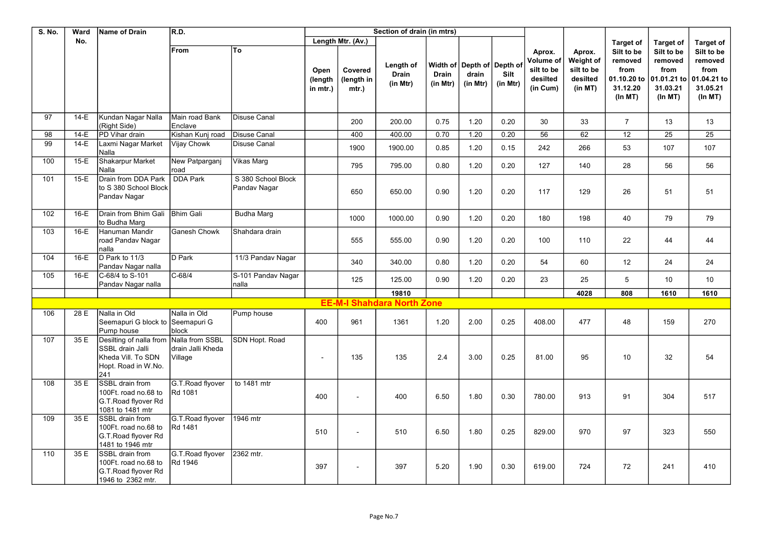| <b>S. No.</b>   | Ward   | <b>Name of Drain</b>                                                                                            | R.D.                              |                                    |                             |                                   | Section of drain (in mtrs)            |                          |                                                 |                  |                                                           |                                                          |                                                                      |                                                                     |                                                                     |
|-----------------|--------|-----------------------------------------------------------------------------------------------------------------|-----------------------------------|------------------------------------|-----------------------------|-----------------------------------|---------------------------------------|--------------------------|-------------------------------------------------|------------------|-----------------------------------------------------------|----------------------------------------------------------|----------------------------------------------------------------------|---------------------------------------------------------------------|---------------------------------------------------------------------|
|                 | No.    |                                                                                                                 |                                   |                                    |                             | Length Mtr. (Av.)                 |                                       |                          |                                                 |                  |                                                           |                                                          | <b>Target of</b>                                                     | <b>Target of</b>                                                    | <b>Target of</b>                                                    |
|                 |        |                                                                                                                 | <b>From</b>                       | To                                 | Open<br>(length<br>in mtr.) | Covered<br>(length in<br>$mtr.$ ) | Length of<br><b>Drain</b><br>(in Mtr) | <b>Drain</b><br>(in Mtr) | Width of Depth of Depth of<br>drain<br>(in Mtr) | Silt<br>(in Mtr) | Aprox.<br>Volume of<br>silt to be<br>desilted<br>(in Cum) | Aprox.<br>Weight of<br>silt to be<br>desilted<br>(in MT) | Silt to be<br>removed<br>from<br>01.10.20 to<br>31.12.20<br>(In M T) | Silt to be<br>removed<br>from<br>01.01.21 to<br>31.03.21<br>(ln MT) | Silt to be<br>removed<br>from<br>01.04.21 to<br>31.05.21<br>(ln MT) |
| $\overline{97}$ | $14-E$ | Kundan Nagar Nalla<br>(Right Side)                                                                              | Main road Bank<br><b>E</b> nclave | <b>Disuse Canal</b>                |                             | 200                               | 200.00                                | 0.75                     | 1.20                                            | 0.20             | 30                                                        | 33                                                       | $\overline{7}$                                                       | 13                                                                  | 13                                                                  |
| 98              | $14-E$ | PD Vihar drain                                                                                                  | Kishan Kunj road                  | <b>Disuse Canal</b>                |                             | 400                               | 400.00                                | 0.70                     | 1.20                                            | 0.20             | 56                                                        | 62                                                       | 12                                                                   | 25                                                                  | 25                                                                  |
| 99              | $14-E$ | Laxmi Nagar Market<br>Nalla                                                                                     | Vijay Chowk                       | <b>Disuse Canal</b>                |                             | 1900                              | 1900.00                               | 0.85                     | 1.20                                            | 0.15             | 242                                                       | 266                                                      | 53                                                                   | 107                                                                 | 107                                                                 |
| 100             | $15-E$ | Shakarpur Market<br>Nalla                                                                                       | New Patparganj<br>road            | Vikas Marg                         |                             | 795                               | 795.00                                | 0.80                     | 1.20                                            | 0.20             | 127                                                       | 140                                                      | 28                                                                   | 56                                                                  | 56                                                                  |
| 101             | $15-E$ | Drain from DDA Park<br>to S 380 School Block<br>Pandav Nagar                                                    | <b>DDA Park</b>                   | S 380 School Block<br>Pandav Nagar |                             | 650                               | 650.00                                | 0.90                     | 1.20                                            | 0.20             | 117                                                       | 129                                                      | 26                                                                   | 51                                                                  | 51                                                                  |
| 102             | $16-E$ | Drain from Bhim Gali<br>to Budha Marg                                                                           | <b>Bhim Gali</b>                  | <b>Budha Marg</b>                  |                             | 1000                              | 1000.00                               | 0.90                     | 1.20                                            | 0.20             | 180                                                       | 198                                                      | 40                                                                   | 79                                                                  | 79                                                                  |
| 103             | $16-E$ | Hanuman Mandir<br>road Pandav Nagar<br>nalla                                                                    | <b>Ganesh Chowk</b>               | Shahdara drain                     |                             | 555                               | 555.00                                | 0.90                     | 1.20                                            | 0.20             | 100                                                       | 110                                                      | 22                                                                   | 44                                                                  | 44                                                                  |
| 104             | $16-E$ | D Park to 11/3<br>Pandav Nagar nalla                                                                            | <b>ID Park</b>                    | 11/3 Pandav Nagar                  |                             | 340                               | 340.00                                | 0.80                     | 1.20                                            | 0.20             | 54                                                        | 60                                                       | 12                                                                   | 24                                                                  | 24                                                                  |
| 105             | $16-E$ | C-68/4 to S-101<br>Pandav Nagar nalla                                                                           | C-68/4                            | S-101 Pandav Nagar<br>nalla        |                             | 125                               | 125.00                                | 0.90                     | 1.20                                            | 0.20             | 23                                                        | 25                                                       | $\mathbf 5$                                                          | 10                                                                  | 10                                                                  |
|                 |        |                                                                                                                 |                                   |                                    |                             |                                   | 19810                                 |                          |                                                 |                  |                                                           | 4028                                                     | 808                                                                  | 1610                                                                | 1610                                                                |
|                 |        |                                                                                                                 |                                   |                                    |                             |                                   | <b>EE-M-I Shahdara North Zone</b>     |                          |                                                 |                  |                                                           |                                                          |                                                                      |                                                                     |                                                                     |
| 106             | 28 E   | Nalla in Old<br>Seemapuri G block to Seemapuri G<br>Pump house                                                  | Nalla in Old<br> block            | Pump house                         | 400                         | 961                               | 1361                                  | 1.20                     | 2.00                                            | 0.25             | 408.00                                                    | 477                                                      | 48                                                                   | 159                                                                 | 270                                                                 |
| 107             | 35 E   | Desilting of nalla from Nalla from SSBL<br>SSBL drain Jalli<br>Kheda Vill, To SDN<br>Hopt. Road in W.No.<br>241 | İdrain Jalli Kheda<br>Village     | SDN Hopt. Road                     |                             | 135                               | 135                                   | 2.4                      | 3.00                                            | 0.25             | 81.00                                                     | 95                                                       | 10                                                                   | 32                                                                  | 54                                                                  |
| 108             | 35 E   | SSBL drain from<br>100Ft. road no.68 to<br>G.T. Road flyover Rd<br>1081 to 1481 mtr                             | G.T. Road flyover<br>Rd 1081      | to 1481 mtr                        | 400                         |                                   | 400                                   | 6.50                     | 1.80                                            | 0.30             | 780.00                                                    | 913                                                      | 91                                                                   | 304                                                                 | 517                                                                 |
| 109             | 35 E   | SSBL drain from<br>100Ft. road no.68 to<br>G.T.Road flyover Rd<br>1481 to 1946 mtr                              | G.T. Road flyover<br>Rd 1481      | 1946 mtr                           | 510                         |                                   | 510                                   | 6.50                     | 1.80                                            | 0.25             | 829.00                                                    | 970                                                      | 97                                                                   | 323                                                                 | 550                                                                 |
| 110             | 35 E   | SSBL drain from<br>100Ft. road no.68 to<br>G.T.Road flyover Rd<br>1946 to 2362 mtr.                             | G.T.Road flyover<br>Rd 1946       | 2362 mtr.                          | 397                         |                                   | 397                                   | 5.20                     | 1.90                                            | 0.30             | 619.00                                                    | 724                                                      | 72                                                                   | 241                                                                 | 410                                                                 |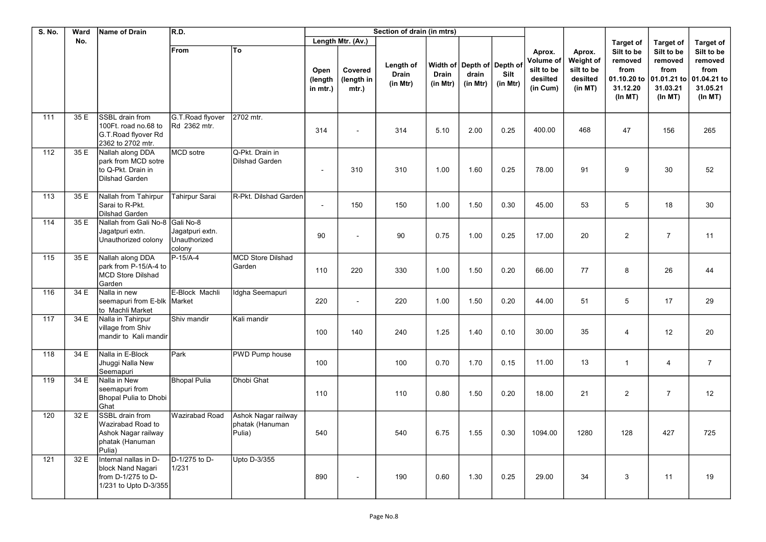| <b>S. No.</b>    | Ward | <b>Name of Drain</b>                                                                      | R.D.                                      |                                                  |                             |                                | Section of drain (in mtrs)     |                          |                                                 |                  |                                                           |                                                          |                                                                     |                                                                     |                                                                     |
|------------------|------|-------------------------------------------------------------------------------------------|-------------------------------------------|--------------------------------------------------|-----------------------------|--------------------------------|--------------------------------|--------------------------|-------------------------------------------------|------------------|-----------------------------------------------------------|----------------------------------------------------------|---------------------------------------------------------------------|---------------------------------------------------------------------|---------------------------------------------------------------------|
|                  | No.  |                                                                                           |                                           |                                                  |                             | Length Mtr. (Av.)              |                                |                          |                                                 |                  |                                                           |                                                          | <b>Target of</b>                                                    | <b>Target of</b>                                                    | <b>Target of</b>                                                    |
|                  |      |                                                                                           | From                                      | To                                               | Open<br>(length<br>in mtr.) | Covered<br>(length in<br>mtr.) | Length of<br>Drain<br>(in Mtr) | <b>Drain</b><br>(in Mtr) | Width of Depth of Depth of<br>drain<br>(in Mtr) | Silt<br>(in Mtr) | Aprox.<br>Volume of<br>silt to be<br>desilted<br>(in Cum) | Aprox.<br>Weight of<br>silt to be<br>desilted<br>(in MT) | Silt to be<br>removed<br>from<br>01.10.20 to<br>31.12.20<br>(ln MT) | Silt to be<br>removed<br>from<br>01.01.21 to<br>31.03.21<br>(ln MT) | Silt to be<br>removed<br>from<br>01.04.21 to<br>31.05.21<br>(ln MT) |
| 111              | 35 E | SSBL drain from<br>100Ft. road no.68 to<br>G.T. Road flyover Rd<br>2362 to 2702 mtr.      | G.T. Road flyover<br>Rd 2362 mtr.         | 2702 mtr.                                        | 314                         | $\sim$                         | 314                            | 5.10                     | 2.00                                            | 0.25             | 400.00                                                    | 468                                                      | 47                                                                  | 156                                                                 | 265                                                                 |
| 112              | 35 E | Nallah along DDA<br>park from MCD sotre<br>to Q-Pkt. Drain in<br><b>Dilshad Garden</b>    | <b>MCD</b> sotre                          | Q-Pkt. Drain in<br>Dilshad Garden                | $\sim$                      | 310                            | 310                            | 1.00                     | 1.60                                            | 0.25             | 78.00                                                     | 91                                                       | 9                                                                   | 30                                                                  | 52                                                                  |
| 113              | 35 E | Nallah from Tahirpur<br>Sarai to R-Pkt.<br><b>Dilshad Garden</b>                          | <b>Tahirpur Sarai</b>                     | R-Pkt. Dilshad Garden                            |                             | 150                            | 150                            | 1.00                     | 1.50                                            | 0.30             | 45.00                                                     | 53                                                       | 5                                                                   | 18                                                                  | 30                                                                  |
| 114              | 35 E | Nallah from Gali No-8 Gali No-8<br>Jagatpuri extn.<br>Unauthorized colony                 | Jagatpuri extn.<br>Unauthorized<br>colony |                                                  | 90                          |                                | 90                             | 0.75                     | 1.00                                            | 0.25             | 17.00                                                     | 20                                                       | $\overline{2}$                                                      | $\overline{7}$                                                      | 11                                                                  |
| 115              | 35 E | Nallah along DDA<br>park from P-15/A-4 to<br><b>MCD Store Dilshad</b><br>Garden           | $P-15/A-4$                                | <b>MCD Store Dilshad</b><br>Garden               | 110                         | 220                            | 330                            | 1.00                     | 1.50                                            | 0.20             | 66.00                                                     | 77                                                       | 8                                                                   | 26                                                                  | 44                                                                  |
| 116              | 34 E | Nalla in new<br>seemapuri from E-blk Market<br>to Machli Market                           | E-Block Machli                            | Idgha Seemapuri                                  | 220                         | $\sim$                         | 220                            | 1.00                     | 1.50                                            | 0.20             | 44.00                                                     | 51                                                       | 5                                                                   | 17                                                                  | 29                                                                  |
| $\overline{117}$ | 34 E | Nalla in Tahirpur<br>village from Shiv<br>mandir to Kali mandir                           | Shiv mandir                               | Kali mandir                                      | 100                         | 140                            | 240                            | 1.25                     | 1.40                                            | 0.10             | 30.00                                                     | 35                                                       | $\overline{4}$                                                      | 12                                                                  | 20                                                                  |
| 118              | 34 E | Nalla in E-Block<br>Jhuggi Nalla New<br>Seemapuri                                         | Park                                      | PWD Pump house                                   | 100                         |                                | 100                            | 0.70                     | 1.70                                            | 0.15             | 11.00                                                     | 13                                                       | $\mathbf{1}$                                                        | $\overline{4}$                                                      | $\overline{7}$                                                      |
| 119              | 34 E | Nalla in New<br>seemapuri from<br><b>Bhopal Pulia to Dhobi</b><br>Ghat                    | <b>Bhopal Pulia</b>                       | Dhobi Ghat                                       | 110                         |                                | 110                            | 0.80                     | 1.50                                            | 0.20             | 18.00                                                     | 21                                                       | $\overline{2}$                                                      | $\overline{7}$                                                      | 12                                                                  |
| 120              | 32 E | SSBL drain from<br>Wazirabad Road to<br>Ashok Nagar railway<br>phatak (Hanuman<br>Pulia)  | Wazirabad Road                            | Ashok Nagar railway<br>phatak (Hanuman<br>Pulia) | 540                         |                                | 540                            | 6.75                     | 1.55                                            | 0.30             | 1094.00                                                   | 1280                                                     | 128                                                                 | 427                                                                 | 725                                                                 |
| 121              | 32 E | Internal nallas in D-<br>block Nand Nagari<br>from D-1/275 to D-<br>1/231 to Upto D-3/355 | D-1/275 to D-<br>1/231                    | Upto D-3/355                                     | 890                         |                                | 190                            | 0.60                     | 1.30                                            | 0.25             | 29.00                                                     | 34                                                       | 3                                                                   | 11                                                                  | 19                                                                  |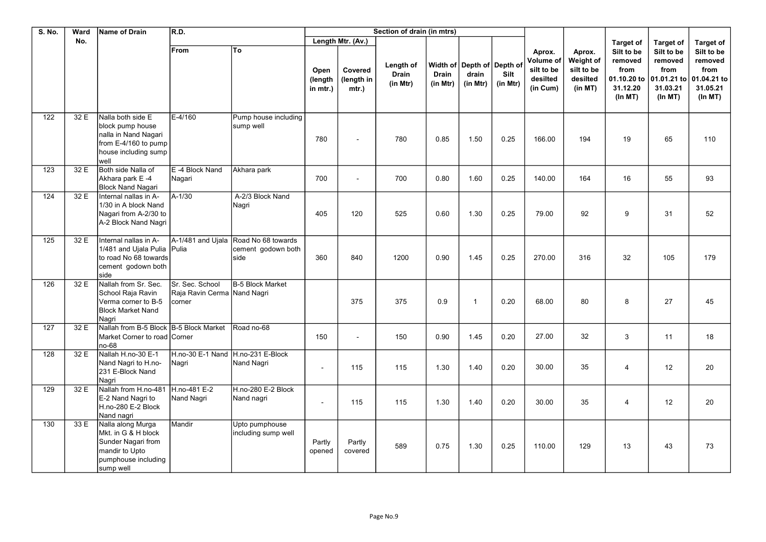| <b>S. No.</b>    | Ward | <b>Name of Drain</b>                                                                                                  | R.D.                                                     |                                                                    |                             |                                | Section of drain (in mtrs)            |                          |                                                 |                  |                                                           |                                                          |                                                                     |                                                                     |                                                                     |
|------------------|------|-----------------------------------------------------------------------------------------------------------------------|----------------------------------------------------------|--------------------------------------------------------------------|-----------------------------|--------------------------------|---------------------------------------|--------------------------|-------------------------------------------------|------------------|-----------------------------------------------------------|----------------------------------------------------------|---------------------------------------------------------------------|---------------------------------------------------------------------|---------------------------------------------------------------------|
|                  | No.  |                                                                                                                       |                                                          |                                                                    |                             | Length Mtr. (Av.)              |                                       |                          |                                                 |                  |                                                           |                                                          | <b>Target of</b>                                                    | <b>Target of</b>                                                    | <b>Target of</b>                                                    |
|                  |      |                                                                                                                       | From                                                     | To                                                                 | Open<br>(length<br>in mtr.) | Covered<br>(length in<br>mtr.) | Length of<br><b>Drain</b><br>(in Mtr) | <b>Drain</b><br>(in Mtr) | Width of Depth of Depth of<br>drain<br>(in Mtr) | Silt<br>(in Mtr) | Aprox.<br>Volume of<br>silt to be<br>desilted<br>(in Cum) | Aprox.<br>Weight of<br>silt to be<br>desilted<br>(in MT) | Silt to be<br>removed<br>from<br>01.10.20 to<br>31.12.20<br>(ln MT) | Silt to be<br>removed<br>from<br>01.01.21 to<br>31.03.21<br>(ln MT) | Silt to be<br>removed<br>from<br>01.04.21 to<br>31.05.21<br>(ln MT) |
| $\overline{122}$ | 32 E | Nalla both side E<br>block pump house<br>nalla in Nand Nagari<br>from E-4/160 to pump<br>house including sump<br>well | $E - 4/160$                                              | Pump house including<br>sump well                                  | 780                         |                                | 780                                   | 0.85                     | 1.50                                            | 0.25             | 166.00                                                    | 194                                                      | 19                                                                  | 65                                                                  | 110                                                                 |
| 123              | 32 E | Both side Nalla of<br>Akhara park E-4<br><b>Block Nand Nagari</b>                                                     | E-4 Block Nand<br>Nagari                                 | Akhara park                                                        | 700                         | $\sim$                         | 700                                   | 0.80                     | 1.60                                            | 0.25             | 140.00                                                    | 164                                                      | 16                                                                  | 55                                                                  | 93                                                                  |
| 124              | 32 E | Internal nallas in A-<br>1/30 in A block Nand<br>Nagari from A-2/30 to<br>A-2 Block Nand Nagri                        | $A - 1/30$                                               | A-2/3 Block Nand<br>Nagri                                          | 405                         | 120                            | 525                                   | 0.60                     | 1.30                                            | 0.25             | 79.00                                                     | 92                                                       | 9                                                                   | 31                                                                  | 52                                                                  |
| 125              | 32 E | Internal nallas in A-<br>1/481 and Ujala Pulia Pulia<br>to road No 68 towards<br>cement godown both<br>side           |                                                          | A-1/481 and Ujala Road No 68 towards<br>cement godown both<br>side | 360                         | 840                            | 1200                                  | 0.90                     | 1.45                                            | 0.25             | 270.00                                                    | 316                                                      | 32                                                                  | 105                                                                 | 179                                                                 |
| 126              | 32 E | Nallah from Sr. Sec.<br>School Raja Ravin<br>Verma corner to B-5<br><b>Block Market Nand</b><br>Nagri                 | Sr. Sec. School<br>Raja Ravin Cerma Nand Nagri<br>corner | <b>B-5 Block Market</b>                                            |                             | 375                            | 375                                   | 0.9                      | $\overline{1}$                                  | 0.20             | 68.00                                                     | 80                                                       | 8                                                                   | 27                                                                  | 45                                                                  |
| 127              | 32 E | Nallah from B-5 Block B-5 Block Market<br>Market Corner to road Corner<br>no-68                                       |                                                          | Road no-68                                                         | 150                         | $\sim$                         | 150                                   | 0.90                     | 1.45                                            | 0.20             | 27.00                                                     | 32                                                       | 3                                                                   | 11                                                                  | 18                                                                  |
| 128              | 32 E | Nallah H.no-30 E-1<br>Nand Nagri to H.no-<br>231 E-Block Nand<br>Nagri                                                | H.no-30 E-1 Nand H.no-231 E-Block<br>Nagri               | Nand Nagri                                                         | $\blacksquare$              | 115                            | 115                                   | 1.30                     | 1.40                                            | 0.20             | 30.00                                                     | 35                                                       | $\overline{4}$                                                      | 12                                                                  | 20                                                                  |
| 129              | 32 E | Nallah from H.no-481<br>E-2 Nand Nagri to<br>H.no-280 E-2 Block<br>Nand nagri                                         | H.no-481 E-2<br>Nand Nagri                               | H.no-280 E-2 Block<br>Nand nagri                                   | $\sim$                      | 115                            | 115                                   | 1.30                     | 1.40                                            | 0.20             | 30.00                                                     | 35                                                       | $\overline{4}$                                                      | 12                                                                  | 20                                                                  |
| 130              | 33 E | Nalla along Murga<br>Mkt. in G & H block<br>Sunder Nagari from<br>mandir to Upto<br>pumphouse including<br>sump well  | Mandir                                                   | Upto pumphouse<br>including sump well                              | Partly<br>opened            | Partly<br>covered              | 589                                   | 0.75                     | 1.30                                            | 0.25             | 110.00                                                    | 129                                                      | 13                                                                  | 43                                                                  | 73                                                                  |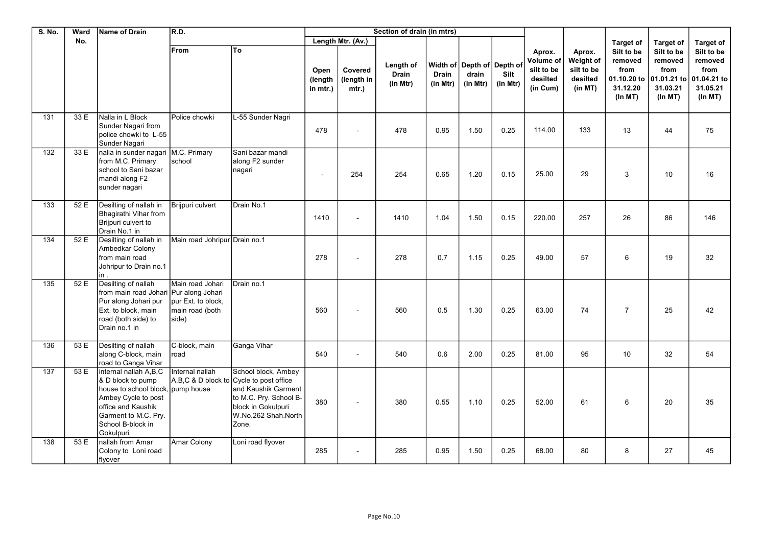| <b>S. No.</b> | Ward | Name of Drain                                                                                                                                                                          | R.D.                                                               |                                                                                                                                                                       |                             |                                | Section of drain (in mtrs)            |                          |                                                 |                  |                                                           |                                                          |                                                                     |                                                                     |                                                                      |
|---------------|------|----------------------------------------------------------------------------------------------------------------------------------------------------------------------------------------|--------------------------------------------------------------------|-----------------------------------------------------------------------------------------------------------------------------------------------------------------------|-----------------------------|--------------------------------|---------------------------------------|--------------------------|-------------------------------------------------|------------------|-----------------------------------------------------------|----------------------------------------------------------|---------------------------------------------------------------------|---------------------------------------------------------------------|----------------------------------------------------------------------|
|               | No.  |                                                                                                                                                                                        |                                                                    |                                                                                                                                                                       |                             | Length Mtr. (Av.)              |                                       |                          |                                                 |                  |                                                           |                                                          | <b>Target of</b>                                                    | <b>Target of</b>                                                    | <b>Target of</b>                                                     |
|               |      |                                                                                                                                                                                        | From                                                               | lTo                                                                                                                                                                   | Open<br>(length<br>in mtr.) | Covered<br>(length in<br>mtr.) | Length of<br><b>Drain</b><br>(in Mtr) | <b>Drain</b><br>(in Mtr) | Width of Depth of Depth of<br>drain<br>(in Mtr) | Silt<br>(in Mtr) | Aprox.<br>Volume of<br>silt to be<br>desilted<br>(in Cum) | Aprox.<br>Weight of<br>silt to be<br>desilted<br>(in MT) | Silt to be<br>removed<br>from<br>01.10.20 to<br>31.12.20<br>(ln MT) | Silt to be<br>removed<br>from<br>01.01.21 to<br>31.03.21<br>(ln MT) | Silt to be<br>removed<br>from<br>01.04.21 to<br>31.05.21<br>(In M T) |
| 131           | 33 E | Nalla in L Block<br>Sunder Nagari from<br>police chowki to L-55<br>Sunder Nagari                                                                                                       | Police chowki                                                      | L-55 Sunder Nagri                                                                                                                                                     | 478                         |                                | 478                                   | 0.95                     | 1.50                                            | 0.25             | 114.00                                                    | 133                                                      | 13                                                                  | 44                                                                  | 75                                                                   |
| 132           | 33 E | nalla in sunder nagari M.C. Primary<br>from M.C. Primary<br>school to Sani bazar<br>mandi along F2<br>sunder nagari                                                                    | school                                                             | Sani bazar mandi<br>along F2 sunder<br>nagari                                                                                                                         | $\blacksquare$              | 254                            | 254                                   | 0.65                     | 1.20                                            | 0.15             | 25.00                                                     | 29                                                       | 3                                                                   | 10                                                                  | 16                                                                   |
| 133           | 52 E | Desilting of nallah in<br>Bhagirathi Vihar from<br>Brijpuri culvert to<br>Drain No.1 in                                                                                                | Brijpuri culvert                                                   | Drain No.1                                                                                                                                                            | 1410                        |                                | 1410                                  | 1.04                     | 1.50                                            | 0.15             | 220.00                                                    | 257                                                      | 26                                                                  | 86                                                                  | 146                                                                  |
| 134           | 52 E | Desilting of nallah in<br>Ambedkar Colony<br>from main road<br>Johripur to Drain no.1<br>in .                                                                                          | Main road Johripur Drain no.1                                      |                                                                                                                                                                       | 278                         |                                | 278                                   | 0.7                      | 1.15                                            | 0.25             | 49.00                                                     | 57                                                       | 6                                                                   | 19                                                                  | 32                                                                   |
| 135           | 52 E | Desilting of nallah<br>from main road Johari Pur along Johari<br>Pur along Johari pur<br>Ext. to block, main<br>road (both side) to<br>Drain no.1 in                                   | Main road Johari<br>pur Ext. to block,<br>main road (both<br>side) | Drain no.1                                                                                                                                                            | 560                         |                                | 560                                   | 0.5                      | 1.30                                            | 0.25             | 63.00                                                     | 74                                                       | $\overline{7}$                                                      | 25                                                                  | 42                                                                   |
| 136           | 53 E | Desilting of nallah<br>along C-block, main<br>road to Ganga Vihar                                                                                                                      | C-block, main<br>Iroad                                             | Ganga Vihar                                                                                                                                                           | 540                         |                                | 540                                   | 0.6                      | 2.00                                            | 0.25             | 81.00                                                     | 95                                                       | 10                                                                  | 32                                                                  | 54                                                                   |
| 137           | 53 E | internal nallah A,B,C<br>& D block to pump<br>house to school block, pump house<br>Ambey Cycle to post<br>office and Kaushik<br>Garment to M.C. Pry.<br>School B-block in<br>Gokulpuri | Internal nallah                                                    | School block, Ambey<br>A,B,C & D block to Cycle to post office<br>and Kaushik Garment<br>to M.C. Pry. School B-<br>block in Gokulpuri<br>W.No.262 Shah.North<br>Zone. | 380                         |                                | 380                                   | 0.55                     | 1.10                                            | 0.25             | 52.00                                                     | 61                                                       | 6                                                                   | 20                                                                  | 35                                                                   |
| 138           | 53 E | nallah from Amar<br>Colony to Loni road<br>flyover                                                                                                                                     | Amar Colony                                                        | Loni road flyover                                                                                                                                                     | 285                         |                                | 285                                   | 0.95                     | 1.50                                            | 0.25             | 68.00                                                     | 80                                                       | 8                                                                   | 27                                                                  | 45                                                                   |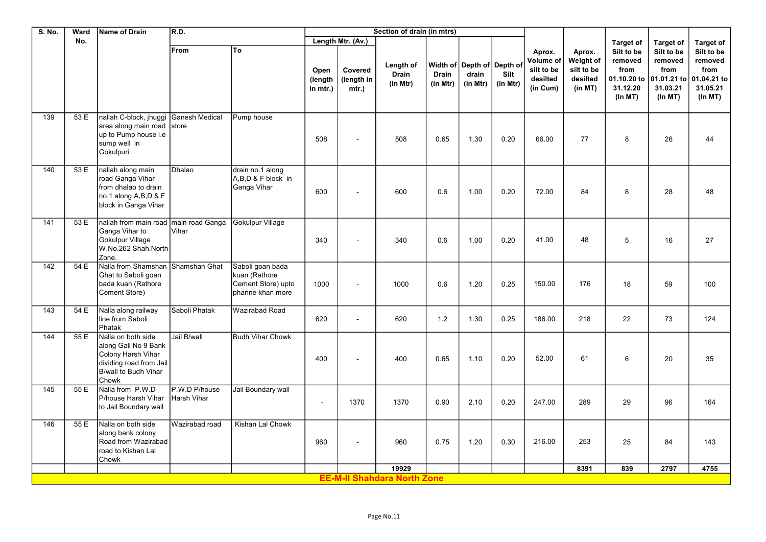| S. No.           | Ward | Name of Drain                                                                                                                | R.D.                         |                                                                             |                             |                               | Section of drain (in mtrs)            |                          |                                                 |                  |                                                           |                                                          |                                                      |                                                                                 |                                                                     |
|------------------|------|------------------------------------------------------------------------------------------------------------------------------|------------------------------|-----------------------------------------------------------------------------|-----------------------------|-------------------------------|---------------------------------------|--------------------------|-------------------------------------------------|------------------|-----------------------------------------------------------|----------------------------------------------------------|------------------------------------------------------|---------------------------------------------------------------------------------|---------------------------------------------------------------------|
|                  | No.  |                                                                                                                              |                              |                                                                             |                             | Length Mtr. (Av.)             |                                       |                          |                                                 |                  |                                                           |                                                          | <b>Target of</b>                                     | <b>Target of</b>                                                                | <b>Target of</b>                                                    |
|                  |      |                                                                                                                              | From                         | To                                                                          | Open<br>(length<br>in mtr.) | Covered<br>(length in<br>mtr. | Length of<br><b>Drain</b><br>(in Mtr) | <b>Drain</b><br>(in Mtr) | Width of Depth of Depth of<br>drain<br>(in Mtr) | Silt<br>(in Mtr) | Aprox.<br>Volume of<br>silt to be<br>desilted<br>(in Cum) | Aprox.<br>Weight of<br>silt to be<br>desilted<br>(in MT) | Silt to be<br>removed<br>from<br>31.12.20<br>(ln MT) | Silt to be<br>removed<br>from<br>01.10.20 to 01.01.21 to<br>31.03.21<br>(ln MT) | Silt to be<br>removed<br>from<br>01.04.21 to<br>31.05.21<br>(ln MT) |
| 139              | 53 E | nallah C-block, jhuggi<br>area along main road store<br>up to Pump house i.e<br>sump well in<br>Gokulpuri                    | Ganesh Medical               | Pump house                                                                  | 508                         |                               | 508                                   | 0.65                     | 1.30                                            | 0.20             | 66.00                                                     | 77                                                       | 8                                                    | 26                                                                              | 44                                                                  |
| 140              | 53 E | nallah along main<br>road Ganga Vihar<br>from dhalao to drain<br>no.1 along A,B,D & F<br>block in Ganga Vihar                | Dhalao                       | drain no.1 along<br>A,B,D & F block in<br>Ganga Vihar                       | 600                         |                               | 600                                   | 0.6                      | 1.00                                            | 0.20             | 72.00                                                     | 84                                                       | 8                                                    | 28                                                                              | 48                                                                  |
| 141              | 53 E | nallah from main road<br>Ganga Vihar to<br>Gokulpur Village<br>W.No.262 Shah.North<br>Zone.                                  | main road Ganga<br>Vihar     | Gokulpur Village                                                            | 340                         |                               | 340                                   | 0.6                      | 1.00                                            | 0.20             | 41.00                                                     | 48                                                       | 5                                                    | 16                                                                              | 27                                                                  |
| $\overline{142}$ | 54 E | Nalla from Shamshan<br>Ghat to Saboli goan<br>bada kuan (Rathore<br>Cement Store)                                            | Shamshan Ghat                | Saboli goan bada<br>kuan (Rathore<br>Cement Store) upto<br>phanne khan more | 1000                        |                               | 1000                                  | 0.6                      | 1.20                                            | 0.25             | 150.00                                                    | 176                                                      | 18                                                   | 59                                                                              | 100                                                                 |
| 143              | 54 E | Nalla along railway<br>line from Saboli<br>Phatak                                                                            | Saboli Phatak                | Wazirabad Road                                                              | 620                         |                               | 620                                   | 1.2                      | 1.30                                            | 0.25             | 186.00                                                    | 218                                                      | 22                                                   | 73                                                                              | 124                                                                 |
| 144              | 55E  | Nalla on both side<br>along Gali No 9 Bank<br>Colony Harsh Vihar<br>dividing road from Jail<br>B/wall to Budh Vihar<br>Chowk | Jail B/wall                  | <b>Budh Vihar Chowk</b>                                                     | 400                         |                               | 400                                   | 0.65                     | 1.10                                            | 0.20             | 52.00                                                     | 61                                                       | 6                                                    | 20                                                                              | 35                                                                  |
| 145              | 55 E | Nalla from P.W.D<br>P/house Harsh Vihar<br>to Jail Boundary wall                                                             | P.W.D P/house<br>Harsh Vihar | Jail Boundary wall                                                          | $\blacksquare$              | 1370                          | 1370                                  | 0.90                     | 2.10                                            | 0.20             | 247.00                                                    | 289                                                      | 29                                                   | 96                                                                              | 164                                                                 |
| 146              | 55 E | Nalla on both side<br>along bank colony<br>Road from Wazirabad<br>road to Kishan Lal<br>Chowk                                | Wazirabad road               | Kishan Lal Chowk                                                            | 960                         |                               | 960                                   | 0.75                     | 1.20                                            | 0.30             | 216.00                                                    | 253                                                      | 25                                                   | 84                                                                              | 143                                                                 |
|                  |      |                                                                                                                              |                              |                                                                             |                             |                               | 19929                                 |                          |                                                 |                  |                                                           | 8391                                                     | 839                                                  | 2797                                                                            | 4755                                                                |
|                  |      |                                                                                                                              |                              |                                                                             |                             |                               | <b>EE-M-II Shahdara North Zone</b>    |                          |                                                 |                  |                                                           |                                                          |                                                      |                                                                                 |                                                                     |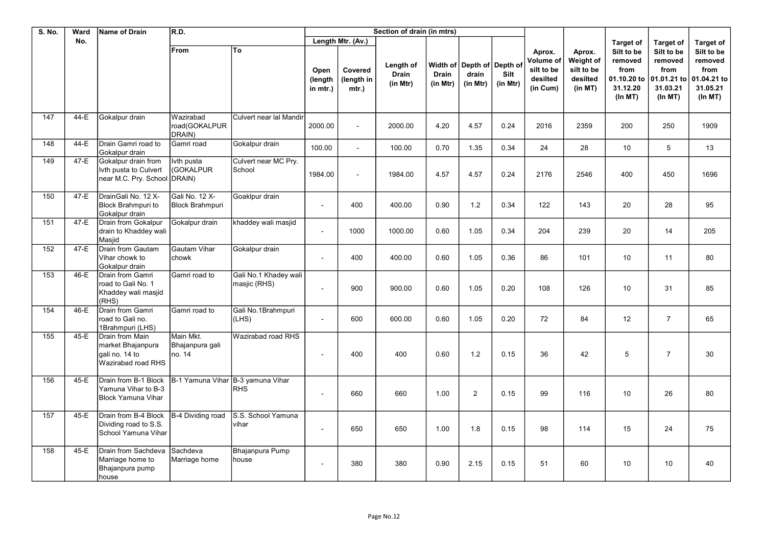| S. No. | Ward | Name of Drain                                                                | R.D.                                     |                                       |                             |                                | Section of drain (in mtrs)            |                          |                                                 |                  |                                                           |                                                          |                                                                      |                                                                          |                                                                     |
|--------|------|------------------------------------------------------------------------------|------------------------------------------|---------------------------------------|-----------------------------|--------------------------------|---------------------------------------|--------------------------|-------------------------------------------------|------------------|-----------------------------------------------------------|----------------------------------------------------------|----------------------------------------------------------------------|--------------------------------------------------------------------------|---------------------------------------------------------------------|
|        | No.  |                                                                              |                                          |                                       |                             | Length Mtr. (Av.)              |                                       |                          |                                                 |                  |                                                           |                                                          | <b>Target of</b>                                                     | <b>Target of</b>                                                         | <b>Target of</b>                                                    |
|        |      |                                                                              | From                                     | To                                    | Open<br>(length<br>in mtr.) | Covered<br>(length in<br>mtr.) | Length of<br><b>Drain</b><br>(in Mtr) | <b>Drain</b><br>(in Mtr) | Width of Depth of Depth of<br>drain<br>(in Mtr) | Silt<br>(in Mtr) | Aprox.<br>Volume of<br>silt to be<br>desilted<br>(in Cum) | Aprox.<br>Weight of<br>silt to be<br>desilted<br>(in MT) | Silt to be<br>removed<br>from<br>01.10.20 to<br>31.12.20<br>(In M T) | Silt to be<br>removed<br>from<br>01.01.21 to<br>31.03.21<br>$(ln$ MT $)$ | Silt to be<br>removed<br>from<br>01.04.21 to<br>31.05.21<br>(ln MT) |
| 147    | 44-E | Gokalpur drain                                                               | Wazirabad<br>road(GOKALPUR<br>DRAIN)     | Culvert near lal Mandir               | 2000.00                     | $\sim$                         | 2000.00                               | 4.20                     | 4.57                                            | 0.24             | 2016                                                      | 2359                                                     | 200                                                                  | 250                                                                      | 1909                                                                |
| 148    | 44-E | Drain Gamri road to<br>Gokalpur drain                                        | Gamri road                               | Gokalpur drain                        | 100.00                      |                                | 100.00                                | 0.70                     | 1.35                                            | 0.34             | 24                                                        | 28                                                       | 10                                                                   | 5                                                                        | 13                                                                  |
| 149    | 47-E | Gokalpur drain from<br>Ivth pusta to Culvert<br>near M.C. Pry. School DRAIN) | lvth pusta<br>(GOKALPUR                  | Culvert near MC Pry.<br>School        | 1984.00                     |                                | 1984.00                               | 4.57                     | 4.57                                            | 0.24             | 2176                                                      | 2546                                                     | 400                                                                  | 450                                                                      | 1696                                                                |
| 150    | 47-E | DrainGali No. 12 X-<br><b>Block Brahmpuri to</b><br>Gokalpur drain           | Gali No. 12 X-<br><b>Block Brahmpuri</b> | Goaklpur drain                        | $\blacksquare$              | 400                            | 400.00                                | 0.90                     | 1.2                                             | 0.34             | 122                                                       | 143                                                      | 20                                                                   | 28                                                                       | 95                                                                  |
| 151    | 47-E | Drain from Gokalpur<br>drain to Khaddey wali<br>Masjid                       | Gokalpur drain                           | khaddey wali masjid                   | $\blacksquare$              | 1000                           | 1000.00                               | 0.60                     | 1.05                                            | 0.34             | 204                                                       | 239                                                      | 20                                                                   | 14                                                                       | 205                                                                 |
| 152    | 47-E | Drain from Gautam<br>Vihar chowk to<br>Gokalpur drain                        | Gautam Vihar<br>chowk                    | Gokalpur drain                        | $\sim$                      | 400                            | 400.00                                | 0.60                     | 1.05                                            | 0.36             | 86                                                        | 101                                                      | 10                                                                   | 11                                                                       | 80                                                                  |
| 153    | 46-E | Drain from Gamri<br>road to Gali No. 1<br>Khaddey wali masjid<br>(RHS)       | Gamri road to                            | Gali No.1 Khadey wali<br>masjic (RHS) | $\sim$                      | 900                            | 900.00                                | 0.60                     | 1.05                                            | 0.20             | 108                                                       | 126                                                      | 10                                                                   | 31                                                                       | 85                                                                  |
| 154    | 46-E | Drain from Gamri<br>road to Gali no.<br>1Brahmpuri (LHS)                     | Gamri road to                            | Gali No.1Brahmpuri<br>(LHS)           | $\blacksquare$              | 600                            | 600.00                                | 0.60                     | 1.05                                            | 0.20             | 72                                                        | 84                                                       | 12                                                                   | $\overline{7}$                                                           | 65                                                                  |
| 155    | 45-E | Drain from Main<br>market Bhaianpura<br>gali no. 14 to<br>Wazirabad road RHS | Main Mkt.<br>Bhajanpura gali<br>no. 14   | Wazirabad road RHS                    | $\overline{\phantom{a}}$    | 400                            | 400                                   | 0.60                     | 1.2                                             | 0.15             | 36                                                        | 42                                                       | 5                                                                    | $\overline{7}$                                                           | 30                                                                  |
| 156    | 45-E | Drain from B-1 Block<br>Yamuna Vihar to B-3<br><b>Block Yamuna Vihar</b>     | B-1 Yamuna Vihar                         | B-3 yamuna Vihar<br><b>RHS</b>        | $\blacksquare$              | 660                            | 660                                   | 1.00                     | 2                                               | 0.15             | 99                                                        | 116                                                      | 10                                                                   | 26                                                                       | 80                                                                  |
| 157    | 45-E | Drain from B-4 Block<br>Dividing road to S.S.<br>School Yamuna Vihar         | B-4 Dividing road                        | S.S. School Yamuna<br>vihar           | $\blacksquare$              | 650                            | 650                                   | 1.00                     | 1.8                                             | 0.15             | 98                                                        | 114                                                      | 15                                                                   | 24                                                                       | 75                                                                  |
| 158    | 45-E | Drain from Sachdeva<br>Marriage home to<br>Bhajanpura pump<br>house          | Sachdeva<br>Marriage home                | Bhajanpura Pump<br>house              | $\overline{a}$              | 380                            | 380                                   | 0.90                     | 2.15                                            | 0.15             | 51                                                        | 60                                                       | 10                                                                   | 10                                                                       | 40                                                                  |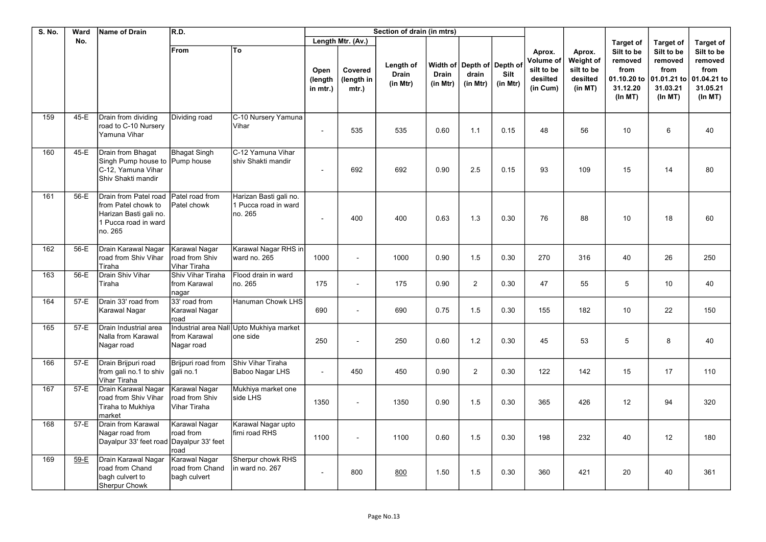| <b>S. No.</b> | Ward   | Name of Drain                                                                                             | R.D.                                               |                                                           | Section of drain (in mtrs)  |                                |                                       |                          |                                                 |                  |                                                           |                                                          |                                                      |                                                                                 |                                                                      |
|---------------|--------|-----------------------------------------------------------------------------------------------------------|----------------------------------------------------|-----------------------------------------------------------|-----------------------------|--------------------------------|---------------------------------------|--------------------------|-------------------------------------------------|------------------|-----------------------------------------------------------|----------------------------------------------------------|------------------------------------------------------|---------------------------------------------------------------------------------|----------------------------------------------------------------------|
|               | No.    |                                                                                                           |                                                    |                                                           |                             | Length Mtr. (Av.)              |                                       |                          |                                                 |                  |                                                           |                                                          | <b>Target of</b>                                     | <b>Target of</b>                                                                | <b>Target of</b>                                                     |
|               |        |                                                                                                           | From                                               | To                                                        | Open<br>(length<br>in mtr.) | Covered<br>(length in<br>mtr.) | Length of<br><b>Drain</b><br>(in Mtr) | <b>Drain</b><br>(in Mtr) | Width of Depth of Depth of<br>drain<br>(in Mtr) | Silt<br>(in Mtr) | Aprox.<br>Volume of<br>silt to be<br>desilted<br>(in Cum) | Aprox.<br>Weight of<br>silt to be<br>desilted<br>(in MT) | Silt to be<br>removed<br>from<br>31.12.20<br>(ln MT) | Silt to be<br>removed<br>from<br>01.10.20 to 01.01.21 to<br>31.03.21<br>(ln MT) | Silt to be<br>removed<br>from<br>01.04.21 to<br>31.05.21<br>(In M T) |
| 159           | 45-E   | Drain from dividing<br>road to C-10 Nursery<br>Yamuna Vihar                                               | Dividing road                                      | C-10 Nursery Yamuna<br>Vihar                              |                             | 535                            | 535                                   | 0.60                     | 1.1                                             | 0.15             | 48                                                        | 56                                                       | 10                                                   | 6                                                                               | 40                                                                   |
| 160           | 45-E   | Drain from Bhagat<br>Singh Pump house to Pump house<br>C-12, Yamuna Vihar<br>Shiv Shakti mandir           | Bhagat Singh                                       | C-12 Yamuna Vihar<br>shiv Shakti mandir                   |                             | 692                            | 692                                   | 0.90                     | 2.5                                             | 0.15             | 93                                                        | 109                                                      | 15                                                   | 14                                                                              | 80                                                                   |
| 161           | 56-E   | Drain from Patel road<br>from Patel chowk to<br>Harizan Basti gali no.<br>1 Pucca road in ward<br>no. 265 | Patel road from<br>Patel chowk                     | Harizan Basti gali no.<br>1 Pucca road in ward<br>no. 265 |                             | 400                            | 400                                   | 0.63                     | 1.3                                             | 0.30             | 76                                                        | 88                                                       | 10                                                   | 18                                                                              | 60                                                                   |
| 162           | 56-E   | Drain Karawal Nagar<br>road from Shiv Vihar<br>Tiraha                                                     | Karawal Nagar<br>Iroad from Shiv<br>Vihar Tiraha   | Karawal Nagar RHS in<br>ward no. 265                      | 1000                        | $\mathbf{r}$                   | 1000                                  | 0.90                     | 1.5                                             | 0.30             | 270                                                       | 316                                                      | 40                                                   | 26                                                                              | 250                                                                  |
| 163           | 56-E   | Drain Shiv Vihar<br>Tiraha                                                                                | Shiv Vihar Tiraha<br>from Karawal<br>nagar         | Flood drain in ward<br>no. 265                            | 175                         | $\blacksquare$                 | 175                                   | 0.90                     | 2                                               | 0.30             | 47                                                        | 55                                                       | 5                                                    | 10                                                                              | 40                                                                   |
| 164           | 57-E   | Drain 33' road from<br><b>Karawal Nagar</b>                                                               | 33' road from<br>Karawal Nagar<br>road             | Hanuman Chowk LHS                                         | 690                         | $\blacksquare$                 | 690                                   | 0.75                     | 1.5                                             | 0.30             | 155                                                       | 182                                                      | 10                                                   | 22                                                                              | 150                                                                  |
| 165           | 57-E   | Drain Industrial area<br>Nalla from Karawal<br>Nagar road                                                 | Industrial area Nall<br>from Karawal<br>Nagar road | Upto Mukhiya market<br>one side                           | 250                         |                                | 250                                   | 0.60                     | 1.2                                             | 0.30             | 45                                                        | 53                                                       | 5                                                    | 8                                                                               | 40                                                                   |
| 166           | 57-E   | Drain Brijpuri road<br>from gali no.1 to shiv<br>Vihar Tiraha                                             | Brijpuri road from<br>qali no.1                    | Shiv Vihar Tiraha<br>Baboo Nagar LHS                      | $\sim$                      | 450                            | 450                                   | 0.90                     | $\overline{2}$                                  | 0.30             | 122                                                       | 142                                                      | 15                                                   | 17                                                                              | 110                                                                  |
| 167           | $57-E$ | Drain Karawal Nagar<br>road from Shiv Vihar<br>Tiraha to Mukhiya<br>market                                | Karawal Nagar<br>road from Shiv<br>İVihar Tiraha   | Mukhiya market one<br>side LHS                            | 1350                        | $\mathbf{r}$                   | 1350                                  | 0.90                     | 1.5                                             | 0.30             | 365                                                       | 426                                                      | 12                                                   | 94                                                                              | 320                                                                  |
| 168           | 57-E   | Drain from Karawal<br>Nagar road from<br>Dayalpur 33' feet road Dayalpur 33' feet                         | Karawal Nagar<br>road from<br>road                 | Karawal Nagar upto<br>firni road RHS                      | 1100                        |                                | 1100                                  | 0.60                     | 1.5                                             | 0.30             | 198                                                       | 232                                                      | 40                                                   | 12                                                                              | 180                                                                  |
| 169           | 59-E   | Drain Karawal Nagar<br>road from Chand<br>bagh culvert to<br>Sherpur Chowk                                | Karawal Nagar<br>road from Chand<br>İbaɑh culvert  | Sherpur chowk RHS<br>in ward no. 267                      |                             | 800                            | 800                                   | 1.50                     | 1.5                                             | 0.30             | 360                                                       | 421                                                      | 20                                                   | 40                                                                              | 361                                                                  |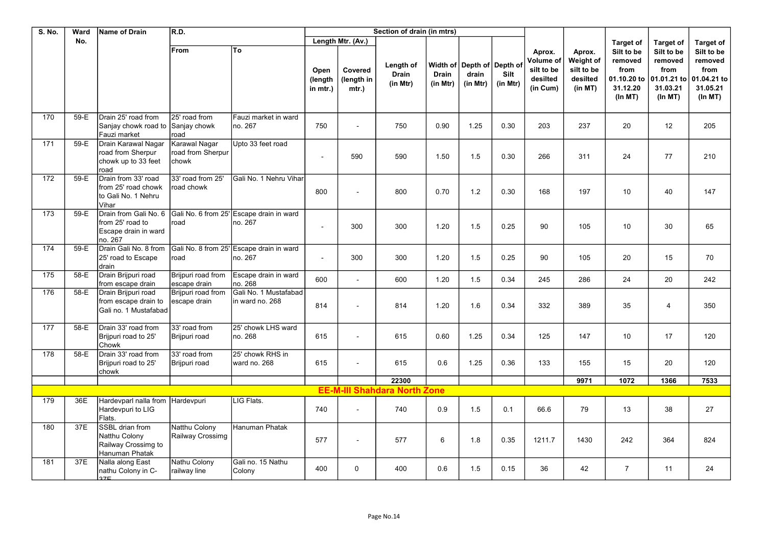| <b>S. No.</b> | Ward   | <b>Name of Drain</b>                                                         | R.D.                                        | Section of drain (in mtrs)                          |                             |                                |                                       |                          |                                                   |                  |                                                           |                                                          |                                                                     |                                                                     |                                                                     |
|---------------|--------|------------------------------------------------------------------------------|---------------------------------------------|-----------------------------------------------------|-----------------------------|--------------------------------|---------------------------------------|--------------------------|---------------------------------------------------|------------------|-----------------------------------------------------------|----------------------------------------------------------|---------------------------------------------------------------------|---------------------------------------------------------------------|---------------------------------------------------------------------|
|               | No.    |                                                                              |                                             |                                                     |                             | Length Mtr. (Av.)              |                                       |                          |                                                   |                  |                                                           |                                                          | <b>Target of</b>                                                    | <b>Target of</b>                                                    | <b>Target of</b>                                                    |
|               |        |                                                                              | From                                        | To                                                  | Open<br>(length<br>in mtr.) | Covered<br>(length in<br>mtr.) | Length of<br><b>Drain</b><br>(in Mtr) | <b>Drain</b><br>(in Mtr) | Width of  Depth of  Depth of<br>drain<br>(in Mtr) | Silt<br>(in Mtr) | Aprox.<br>Volume of<br>silt to be<br>desilted<br>(in Cum) | Aprox.<br>Weight of<br>silt to be<br>desilted<br>(in MT) | Silt to be<br>removed<br>from<br>01.10.20 to<br>31.12.20<br>(ln MT) | Silt to be<br>removed<br>from<br>01.01.21 to<br>31.03.21<br>(ln MT) | Silt to be<br>removed<br>from<br>01.04.21 to<br>31.05.21<br>(ln MT) |
| 170           | 59-E   | Drain 25' road from<br>Sanjay chowk road to<br>Fauzi market                  | 25' road from<br>Sanjay chowk<br>road       | Fauzi market in ward<br>no. 267                     | 750                         |                                | 750                                   | 0.90                     | 1.25                                              | 0.30             | 203                                                       | 237                                                      | 20                                                                  | 12                                                                  | 205                                                                 |
| 171           | 59-E   | Drain Karawal Nagar<br>road from Sherpur<br>chowk up to 33 feet<br>road      | Karawal Nagar<br>road from Sherpur<br>chowk | Upto 33 feet road                                   | $\blacksquare$              | 590                            | 590                                   | 1.50                     | 1.5                                               | 0.30             | 266                                                       | 311                                                      | 24                                                                  | 77                                                                  | 210                                                                 |
| 172           | 59-E   | Drain from 33' road<br>from 25' road chowk<br>to Gali No. 1 Nehru<br>Vihar   | 33' road from 25'<br>road chowk             | Gali No. 1 Nehru Vihar                              | 800                         |                                | 800                                   | 0.70                     | 1.2                                               | 0.30             | 168                                                       | 197                                                      | 10                                                                  | 40                                                                  | 147                                                                 |
| 173           | 59-E   | Drain from Gali No. 6<br>from 25' road to<br>Escape drain in ward<br>no. 267 | road                                        | Gali No. 6 from 25' Escape drain in ward<br>no. 267 | $\sim$                      | 300                            | 300                                   | 1.20                     | 1.5                                               | 0.25             | 90                                                        | 105                                                      | 10                                                                  | 30                                                                  | 65                                                                  |
| 174           | 59-E   | Drain Gali No. 8 from<br>25' road to Escape<br>drain                         | Gali No. 8 from 25'<br>road                 | Escape drain in ward<br>no. 267                     | $\sim$                      | 300                            | 300                                   | 1.20                     | 1.5                                               | 0.25             | 90                                                        | 105                                                      | 20                                                                  | 15                                                                  | 70                                                                  |
| 175           | 58-E   | Drain Brijpuri road<br>from escape drain                                     | Brijpuri road from<br>escape drain          | Escape drain in ward<br>no. 268                     | 600                         |                                | 600                                   | 1.20                     | 1.5                                               | 0.34             | 245                                                       | 286                                                      | 24                                                                  | 20                                                                  | 242                                                                 |
| 176           | 58-E   | Drain Brijpuri road<br>from escape drain to<br>Gali no. 1 Mustafabad         | Brijpuri road from<br>escape drain          | Gali No. 1 Mustafabad<br>in ward no. 268            | 814                         |                                | 814                                   | 1.20                     | 1.6                                               | 0.34             | 332                                                       | 389                                                      | 35                                                                  | 4                                                                   | 350                                                                 |
| 177           | 58-E   | Drain 33' road from<br>Brijpuri road to 25'<br>Chowk                         | 33' road from<br>Brijpuri road              | 25' chowk LHS ward<br>no. 268                       | 615                         |                                | 615                                   | 0.60                     | 1.25                                              | 0.34             | 125                                                       | 147                                                      | 10                                                                  | 17                                                                  | 120                                                                 |
| 178           | $58-E$ | Drain 33' road from<br>Brijpuri road to 25'<br>chowk                         | 33' road from<br>Brijpuri road              | 25' chowk RHS in<br>ward no. 268                    | 615                         |                                | 615                                   | 0.6                      | 1.25                                              | 0.36             | 133                                                       | 155                                                      | 15                                                                  | 20                                                                  | 120                                                                 |
|               |        |                                                                              |                                             |                                                     |                             |                                | 22300                                 |                          |                                                   |                  |                                                           | 9971                                                     | 1072                                                                | 1366                                                                | 7533                                                                |
|               |        |                                                                              |                                             |                                                     |                             |                                | <b>EE-M-III Shahdara North Zone</b>   |                          |                                                   |                  |                                                           |                                                          |                                                                     |                                                                     |                                                                     |
| 179           | 36E    | Hardevparl nalla from<br>Hardevpuri to LIG<br>Flats.                         | Hardevpuri                                  | LIG Flats.                                          | 740                         | $\sim$                         | 740                                   | 0.9                      | 1.5                                               | 0.1              | 66.6                                                      | 79                                                       | 13                                                                  | 38                                                                  | 27                                                                  |
| 180           | 37E    | SSBL drian from<br>Natthu Colony<br>Railway Crossimg to<br>Hanuman Phatak    | Natthu Colony<br>Railway Crossimg           | Hanuman Phatak                                      | 577                         |                                | 577                                   | 6                        | 1.8                                               | 0.35             | 1211.7                                                    | 1430                                                     | 242                                                                 | 364                                                                 | 824                                                                 |
| 181           | 37E    | Nalla along East<br>nathu Colony in C-<br>27E                                | Nathu Colony<br>railway line                | Gali no. 15 Nathu<br>Colony                         | 400                         | $\Omega$                       | 400                                   | 0.6                      | 1.5                                               | 0.15             | 36                                                        | 42                                                       | $\overline{7}$                                                      | 11                                                                  | 24                                                                  |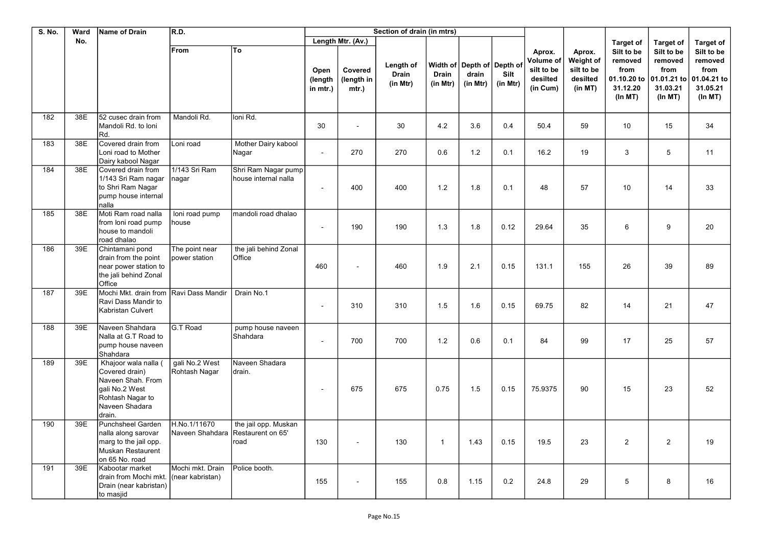| <b>S. No.</b> | Ward | Name of Drain                                                                                                                 | R.D.                                 | Section of drain (in mtrs)                        |                             |                                |                                       |                   |                                                 |                  |                                                           |                                                          |                                                                     |                                                                      |                                                                     |
|---------------|------|-------------------------------------------------------------------------------------------------------------------------------|--------------------------------------|---------------------------------------------------|-----------------------------|--------------------------------|---------------------------------------|-------------------|-------------------------------------------------|------------------|-----------------------------------------------------------|----------------------------------------------------------|---------------------------------------------------------------------|----------------------------------------------------------------------|---------------------------------------------------------------------|
|               | No.  |                                                                                                                               |                                      |                                                   |                             | Length Mtr. (Av.)              |                                       |                   |                                                 |                  |                                                           |                                                          | <b>Target of</b>                                                    | <b>Target of</b>                                                     | <b>Target of</b>                                                    |
|               |      |                                                                                                                               | From                                 | To                                                | Open<br>(length<br>in mtr.) | Covered<br>(length in<br>mtr.) | Length of<br><b>Drain</b><br>(in Mtr) | Drain<br>(in Mtr) | Width of Depth of Depth of<br>drain<br>(in Mtr) | Silt<br>(in Mtr) | Aprox.<br>Volume of<br>silt to be<br>desilted<br>(in Cum) | Aprox.<br>Weight of<br>silt to be<br>desilted<br>(in MT) | Silt to be<br>removed<br>from<br>01.10.20 to<br>31.12.20<br>(ln MT) | Silt to be<br>removed<br>from<br>01.01.21 to<br>31.03.21<br>(In M T) | Silt to be<br>removed<br>from<br>01.04.21 to<br>31.05.21<br>(ln MT) |
| 182           | 38E  | 52 cusec drain from<br>Mandoli Rd. to Ioni<br>Rd.                                                                             | Mandoli Rd.                          | Ioni Rd.                                          | 30                          |                                | 30                                    | 4.2               | 3.6                                             | 0.4              | 50.4                                                      | 59                                                       | 10                                                                  | 15                                                                   | 34                                                                  |
| 183           | 38E  | Covered drain from<br>Loni road to Mother<br>Dairy kabool Nagar                                                               | Loni road                            | Mother Dairy kabool<br>Nagar                      | $\blacksquare$              | 270                            | 270                                   | 0.6               | 1.2                                             | 0.1              | 16.2                                                      | 19                                                       | 3                                                                   | 5                                                                    | 11                                                                  |
| 184           | 38E  | Covered drain from<br>1/143 Sri Ram nagar<br>to Shri Ram Nagar<br>pump house internal<br>nalla                                | 1/143 Sri Ram<br> nagar              | Shri Ram Nagar pump<br>house internal nalla       | $\blacksquare$              | 400                            | 400                                   | 1.2               | 1.8                                             | 0.1              | 48                                                        | 57                                                       | 10                                                                  | 14                                                                   | 33                                                                  |
| 185           | 38E  | Moti Ram road nalla<br>from loni road pump<br>house to mandoli<br>road dhalao                                                 | loni road pump<br>house              | mandoli road dhalao                               | $\blacksquare$              | 190                            | 190                                   | 1.3               | 1.8                                             | 0.12             | 29.64                                                     | 35                                                       | 6                                                                   | 9                                                                    | 20                                                                  |
| 186           | 39E  | Chintamani pond<br>drain from the point<br>near power station to<br>the jali behind Zonal<br>Office                           | The point near<br>power station      | the jali behind Zonal<br>Office                   | 460                         |                                | 460                                   | 1.9               | 2.1                                             | 0.15             | 131.1                                                     | 155                                                      | 26                                                                  | 39                                                                   | 89                                                                  |
| 187           | 39E  | Mochi Mkt. drain from<br>Ravi Dass Mandir to<br>Kabristan Culvert                                                             | Ravi Dass Mandir                     | Drain No.1                                        | $\sim$                      | 310                            | 310                                   | 1.5               | 1.6                                             | 0.15             | 69.75                                                     | 82                                                       | 14                                                                  | 21                                                                   | 47                                                                  |
| 188           | 39E  | Naveen Shahdara<br>Nalla at G.T Road to<br>pump house naveen<br>Shahdara                                                      | G.T Road                             | pump house naveen<br>Shahdara                     | $\sim$                      | 700                            | 700                                   | 1.2               | 0.6                                             | 0.1              | 84                                                        | 99                                                       | 17                                                                  | 25                                                                   | 57                                                                  |
| 189           | 39E  | Khajoor wala nalla (<br>Covered drain)<br>Naveen Shah. From<br>gali No.2 West<br>Rohtash Nagar to<br>Naveen Shadara<br>drain. | gali No.2 West<br>Rohtash Nagar      | Naveen Shadara<br>drain.                          | $\sim$                      | 675                            | 675                                   | 0.75              | 1.5                                             | 0.15             | 75.9375                                                   | 90                                                       | 15                                                                  | 23                                                                   | 52                                                                  |
| 190           | 39E  | Punchsheel Garden<br>nalla along sarovar<br>marg to the jail opp.<br>Muskan Restaurent<br>on 65 No. road                      | H.No.1/11670<br>Naveen Shahdara      | the jail opp. Muskan<br>Restaurent on 65'<br>road | 130                         |                                | 130                                   | $\mathbf{1}$      | 1.43                                            | 0.15             | 19.5                                                      | 23                                                       | $\overline{2}$                                                      | $\overline{2}$                                                       | 19                                                                  |
| 191           | 39E  | Kabootar market<br>drain from Mochi mkt.<br>Drain (near kabristan)<br>to masjid                                               | Mochi mkt. Drain<br>(near kabristan) | Police booth.                                     | 155                         |                                | 155                                   | 0.8               | 1.15                                            | 0.2              | 24.8                                                      | 29                                                       | 5                                                                   | 8                                                                    | 16                                                                  |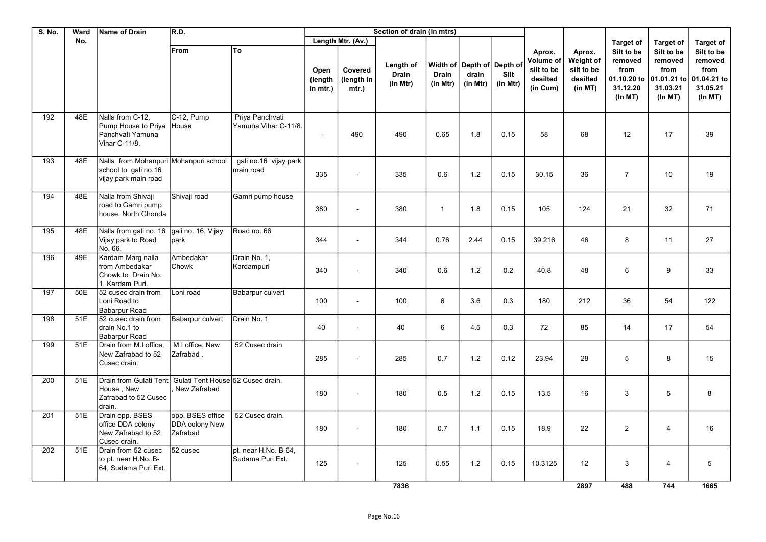| S. No. | Ward | Name of Drain                                                                         | R.D.                                                  | Section of drain (in mtrs)               |                             |                                |                                       |                          |                                                 |                  |                                                           |                                                          |                                                                     |                                                                     |                                                                     |
|--------|------|---------------------------------------------------------------------------------------|-------------------------------------------------------|------------------------------------------|-----------------------------|--------------------------------|---------------------------------------|--------------------------|-------------------------------------------------|------------------|-----------------------------------------------------------|----------------------------------------------------------|---------------------------------------------------------------------|---------------------------------------------------------------------|---------------------------------------------------------------------|
|        | No.  |                                                                                       |                                                       |                                          | Length Mtr. (Av.)           |                                |                                       |                          |                                                 |                  |                                                           |                                                          | <b>Target of</b>                                                    | <b>Target of</b>                                                    | <b>Target of</b>                                                    |
|        |      |                                                                                       | From                                                  | To                                       | Open<br>(length<br>in mtr.) | Covered<br>(length in<br>mtr.) | Length of<br><b>Drain</b><br>(in Mtr) | <b>Drain</b><br>(in Mtr) | Width of Depth of Depth of<br>drain<br>(in Mtr) | Silt<br>(in Mtr) | Aprox.<br>Volume of<br>silt to be<br>desilted<br>(in Cum) | Aprox.<br>Weight of<br>silt to be<br>desilted<br>(in MT) | Silt to be<br>removed<br>from<br>01.10.20 to<br>31.12.20<br>(ln MT) | Silt to be<br>removed<br>from<br>01.01.21 to<br>31.03.21<br>(ln MT) | Silt to be<br>removed<br>from<br>01.04.21 to<br>31.05.21<br>(ln MT) |
| 192    | 48E  | Nalla from C-12,<br>Pump House to Priya<br>Panchvati Yamuna<br>Vihar C-11/8.          | C-12, Pump<br>House                                   | Priya Panchvati<br>Yamuna Vihar C-11/8.  | $\blacksquare$              | 490                            | 490                                   | 0.65                     | 1.8                                             | 0.15             | 58                                                        | 68                                                       | 12                                                                  | 17                                                                  | 39                                                                  |
| 193    | 48E  | Nalla from Mohanpuri Mohanpuri school<br>school to gali no.16<br>vijay park main road |                                                       | gali no.16 vijay park<br>main road       | 335                         |                                | 335                                   | 0.6                      | 1.2                                             | 0.15             | 30.15                                                     | 36                                                       | $\overline{7}$                                                      | 10                                                                  | 19                                                                  |
| 194    | 48E  | Nalla from Shivaji<br>road to Gamri pump<br>house, North Ghonda                       | Shivaji road                                          | Gamri pump house                         | 380                         |                                | 380                                   | $\mathbf{1}$             | 1.8                                             | 0.15             | 105                                                       | 124                                                      | 21                                                                  | 32                                                                  | 71                                                                  |
| 195    | 48E  | Nalla from gali no. 16<br>Vijay park to Road<br>No. 66.                               | gali no. 16, Vijay<br>park                            | Road no. 66                              | 344                         |                                | 344                                   | 0.76                     | 2.44                                            | 0.15             | 39.216                                                    | 46                                                       | 8                                                                   | 11                                                                  | 27                                                                  |
| 196    | 49E  | Kardam Marg nalla<br>from Ambedakar<br>Chowk to Drain No.<br>1. Kardam Puri.          | Ambedakar<br>Chowk                                    | Drain No. 1,<br>Kardampuri               | 340                         |                                | 340                                   | 0.6                      | 1.2                                             | 0.2              | 40.8                                                      | 48                                                       | 6                                                                   | 9                                                                   | 33                                                                  |
| 197    | 50E  | 52 cusec drain from<br>Loni Road to<br>Babarpur Road                                  | Loni road                                             | Babarpur culvert                         | 100                         | $\sim$                         | 100                                   | 6                        | 3.6                                             | 0.3              | 180                                                       | 212                                                      | 36                                                                  | 54                                                                  | 122                                                                 |
| 198    | 51E  | 52 cusec drain from<br>drain No.1 to<br><b>Babarpur Road</b>                          | Babarpur culvert                                      | Drain No. 1                              | 40                          | $\sim$                         | 40                                    | 6                        | 4.5                                             | 0.3              | 72                                                        | 85                                                       | 14                                                                  | 17                                                                  | 54                                                                  |
| 199    | 51E  | Drain from M.I office.<br>New Zafrabad to 52<br>Cusec drain.                          | M.I office, New<br>Zafrabad.                          | 52 Cusec drain                           | 285                         |                                | 285                                   | 0.7                      | 1.2                                             | 0.12             | 23.94                                                     | 28                                                       | $\,$ 5 $\,$                                                         | 8                                                                   | 15                                                                  |
| 200    | 51E  | Drain from Gulati Tent<br>House, New<br>Zafrabad to 52 Cusec<br>drain.                | Gulati Tent House 52 Cusec drain.<br>New Zafrabad     |                                          | 180                         |                                | 180                                   | 0.5                      | 1.2                                             | 0.15             | 13.5                                                      | 16                                                       | 3                                                                   | 5                                                                   | 8                                                                   |
| 201    | 51E  | Drain opp. BSES<br>office DDA colony<br>New Zafrabad to 52<br>Cusec drain.            | opp. BSES office<br><b>DDA</b> colony New<br>Zafrabad | 52 Cusec drain.                          | 180                         |                                | 180                                   | 0.7                      | 1.1                                             | 0.15             | 18.9                                                      | 22                                                       | $\overline{2}$                                                      | 4                                                                   | 16                                                                  |
| 202    | 51E  | Drain from 52 cusec<br>to pt. near H.No. B-<br>64, Sudama Puri Ext.                   | 52 cusec                                              | pt. near H.No. B-64,<br>Sudama Puri Ext. | 125                         |                                | 125                                   | 0.55                     | 1.2                                             | 0.15             | 10.3125                                                   | 12                                                       | 3                                                                   | 4                                                                   | 5                                                                   |
|        |      |                                                                                       |                                                       |                                          |                             |                                | 7836                                  |                          |                                                 |                  |                                                           | 2897                                                     | 488                                                                 | 744                                                                 | 1665                                                                |